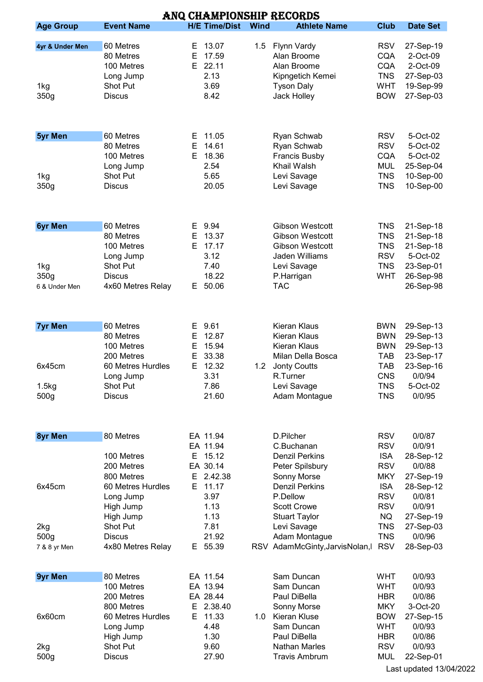| ANQ CHAMPIONSHIP RECORDS |                   |                      |             |                               |             |                 |  |  |  |  |  |
|--------------------------|-------------------|----------------------|-------------|-------------------------------|-------------|-----------------|--|--|--|--|--|
| <b>Age Group</b>         | <b>Event Name</b> | <b>H/E Time/Dist</b> | <b>Wind</b> | <b>Athlete Name</b>           | <b>Club</b> | <b>Date Set</b> |  |  |  |  |  |
|                          |                   |                      |             |                               |             |                 |  |  |  |  |  |
| 4yr & Under Men          | 60 Metres         | 13.07<br>E.          | 1.5         | Flynn Vardy                   | <b>RSV</b>  | 27-Sep-19       |  |  |  |  |  |
|                          | 80 Metres         | 17.59<br>Е           |             | Alan Broome                   | <b>CQA</b>  | 2-Oct-09        |  |  |  |  |  |
|                          | 100 Metres        | E.<br>22.11          |             | Alan Broome                   | <b>CQA</b>  | 2-Oct-09        |  |  |  |  |  |
|                          | Long Jump         | 2.13                 |             | Kipngetich Kemei              | <b>TNS</b>  | 27-Sep-03       |  |  |  |  |  |
| 1kg                      | Shot Put          | 3.69                 |             | <b>Tyson Daly</b>             | <b>WHT</b>  | 19-Sep-99       |  |  |  |  |  |
| 350g                     | <b>Discus</b>     | 8.42                 |             | Jack Holley                   | <b>BOW</b>  | 27-Sep-03       |  |  |  |  |  |
|                          |                   |                      |             |                               |             |                 |  |  |  |  |  |
| <b>5yr Men</b>           | 60 Metres         | E 11.05              |             | Ryan Schwab                   | <b>RSV</b>  | 5-Oct-02        |  |  |  |  |  |
|                          | 80 Metres         | 14.61<br>Е           |             | Ryan Schwab                   | <b>RSV</b>  | 5-Oct-02        |  |  |  |  |  |
|                          |                   |                      |             |                               |             |                 |  |  |  |  |  |
|                          | 100 Metres        | 18.36<br>Е           |             | <b>Francis Busby</b>          | <b>CQA</b>  | 5-Oct-02        |  |  |  |  |  |
|                          | Long Jump         | 2.54                 |             | Khail Walsh                   | <b>MUL</b>  | 25-Sep-04       |  |  |  |  |  |
| 1kg                      | Shot Put          | 5.65                 |             | Levi Savage                   | <b>TNS</b>  | 10-Sep-00       |  |  |  |  |  |
| 350g                     | <b>Discus</b>     | 20.05                |             | Levi Savage                   | <b>TNS</b>  | 10-Sep-00       |  |  |  |  |  |
|                          |                   |                      |             |                               |             |                 |  |  |  |  |  |
| <b>6yr Men</b>           | 60 Metres         | 9.94<br>Е.           |             | <b>Gibson Westcott</b>        | <b>TNS</b>  | 21-Sep-18       |  |  |  |  |  |
|                          | 80 Metres         | E.<br>13.37          |             | <b>Gibson Westcott</b>        | <b>TNS</b>  | 21-Sep-18       |  |  |  |  |  |
|                          | 100 Metres        | E.<br>17.17          |             | <b>Gibson Westcott</b>        | <b>TNS</b>  | 21-Sep-18       |  |  |  |  |  |
|                          | Long Jump         | 3.12                 |             | Jaden Williams                | <b>RSV</b>  | 5-Oct-02        |  |  |  |  |  |
| 1kg                      | Shot Put          | 7.40                 |             | Levi Savage                   | <b>TNS</b>  | 23-Sep-01       |  |  |  |  |  |
| 350g                     | <b>Discus</b>     | 18.22                |             | P.Harrigan                    | <b>WHT</b>  | 26-Sep-98       |  |  |  |  |  |
| 6 & Under Men            | 4x60 Metres Relay | 50.06<br>E.          |             | <b>TAC</b>                    |             | 26-Sep-98       |  |  |  |  |  |
|                          |                   |                      |             |                               |             |                 |  |  |  |  |  |
| <b>7yr Men</b>           | 60 Metres         | 9.61<br>Е,           |             | Kieran Klaus                  | <b>BWN</b>  | 29-Sep-13       |  |  |  |  |  |
|                          | 80 Metres         | 12.87<br>Е           |             | <b>Kieran Klaus</b>           | <b>BWN</b>  | 29-Sep-13       |  |  |  |  |  |
|                          | 100 Metres        | 15.94<br>E.          |             | Kieran Klaus                  | <b>BWN</b>  | 29-Sep-13       |  |  |  |  |  |
|                          | 200 Metres        | 33.38<br>Е           |             | Milan Della Bosca             | <b>TAB</b>  | 23-Sep-17       |  |  |  |  |  |
|                          |                   |                      |             |                               |             |                 |  |  |  |  |  |
| 6x45cm                   | 60 Metres Hurdles | E 12.32              | 1.2         | <b>Jonty Coutts</b>           | <b>TAB</b>  | 23-Sep-16       |  |  |  |  |  |
|                          | Long Jump         | 3.31                 |             | R.Turner                      | <b>CNS</b>  | 0/0/94          |  |  |  |  |  |
| 1.5kg                    | Shot Put          | 7.86                 |             | Levi Savage                   | <b>TNS</b>  | 5-Oct-02        |  |  |  |  |  |
| 500g                     | <b>Discus</b>     | 21.60                |             | Adam Montague                 | <b>TNS</b>  | 0/0/95          |  |  |  |  |  |
|                          |                   |                      |             |                               |             |                 |  |  |  |  |  |
| 8yr Men                  | 80 Metres         | EA 11.94             |             | D.Pilcher                     | <b>RSV</b>  | 0/0/87          |  |  |  |  |  |
|                          |                   | EA 11.94             |             | C.Buchanan                    | <b>RSV</b>  | 0/0/91          |  |  |  |  |  |
|                          | 100 Metres        | E 15.12              |             | <b>Denzil Perkins</b>         | <b>ISA</b>  | 28-Sep-12       |  |  |  |  |  |
|                          | 200 Metres        | EA 30.14             |             | Peter Spilsbury               | <b>RSV</b>  | 0/0/88          |  |  |  |  |  |
|                          | 800 Metres        | E 2.42.38            |             | Sonny Morse                   | <b>MKY</b>  | 27-Sep-19       |  |  |  |  |  |
| 6x45cm                   | 60 Metres Hurdles | E 11.17              |             | <b>Denzil Perkins</b>         | <b>ISA</b>  | 28-Sep-12       |  |  |  |  |  |
|                          | Long Jump         | 3.97                 |             | P.Dellow                      | <b>RSV</b>  | 0/0/81          |  |  |  |  |  |
|                          | High Jump         | 1.13                 |             | <b>Scott Crowe</b>            | <b>RSV</b>  | 0/0/91          |  |  |  |  |  |
|                          |                   | 1.13                 |             |                               |             |                 |  |  |  |  |  |
|                          | High Jump         |                      |             | <b>Stuart Taylor</b>          | <b>NQ</b>   | 27-Sep-19       |  |  |  |  |  |
| 2kg                      | Shot Put          | 7.81                 |             | Levi Savage                   | <b>TNS</b>  | 27-Sep-03       |  |  |  |  |  |
| 500g                     | <b>Discus</b>     | 21.92                |             | Adam Montague                 | <b>TNS</b>  | 0/0/96          |  |  |  |  |  |
| 7 & 8 yr Men             | 4x80 Metres Relay | E 55.39              |             | RSV AdamMcGinty, JarvisNolan, | <b>RSV</b>  | 28-Sep-03       |  |  |  |  |  |
| <b>9yr Men</b>           | 80 Metres         | EA 11.54             |             | Sam Duncan                    | <b>WHT</b>  | 0/0/93          |  |  |  |  |  |
|                          | 100 Metres        | EA 13.94             |             | Sam Duncan                    | <b>WHT</b>  | 0/0/93          |  |  |  |  |  |
|                          | 200 Metres        | EA 28.44             |             | Paul DiBella                  | <b>HBR</b>  | 0/0/86          |  |  |  |  |  |
|                          | 800 Metres        | 2.38.40<br>Е         |             | Sonny Morse                   | <b>MKY</b>  | 3-Oct-20        |  |  |  |  |  |
| 6x60cm                   | 60 Metres Hurdles | E 11.33              | 1.0         | Kieran Kluse                  | <b>BOW</b>  | 27-Sep-15       |  |  |  |  |  |
|                          |                   | 4.48                 |             | Sam Duncan                    | <b>WHT</b>  | 0/0/93          |  |  |  |  |  |
|                          | Long Jump         |                      |             |                               |             |                 |  |  |  |  |  |
|                          | High Jump         | 1.30                 |             | Paul DiBella                  | <b>HBR</b>  | 0/0/86          |  |  |  |  |  |
| 2kg                      | Shot Put          | 9.60                 |             | <b>Nathan Marles</b>          | <b>RSV</b>  | 0/0/93          |  |  |  |  |  |
| 500g                     | <b>Discus</b>     | 27.90                |             | <b>Travis Ambrum</b>          | <b>MUL</b>  | 22-Sep-01       |  |  |  |  |  |
|                          |                   |                      |             |                               |             |                 |  |  |  |  |  |

Last updated 13/04/2022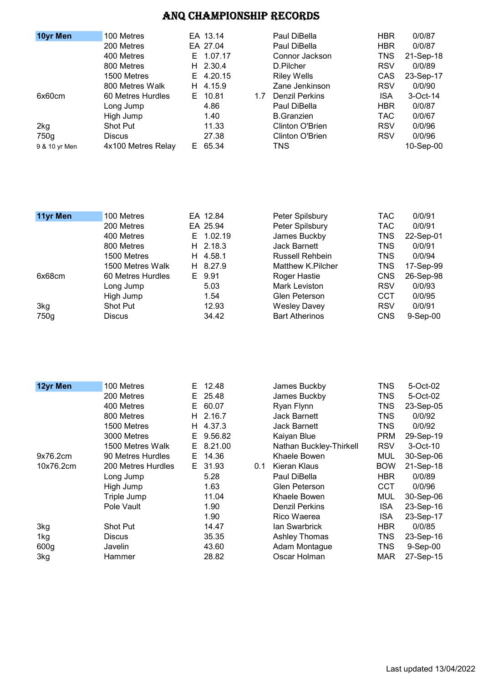| 10yr Men      | 100 Metres         |    | EA 13.14   |     | Paul DiBella          | <b>HBR</b> | 0/0/87    |
|---------------|--------------------|----|------------|-----|-----------------------|------------|-----------|
|               | 200 Metres         |    | EA 27.04   |     | Paul DiBella          | <b>HBR</b> | 0/0/87    |
|               | 400 Metres         |    | E 1.07.17  |     | Connor Jackson        | TNS        | 21-Sep-18 |
|               | 800 Metres         |    | $H$ 2.30.4 |     | D.Pilcher             | <b>RSV</b> | 0/0/89    |
|               | 1500 Metres        |    | E 4.20.15  |     | <b>Riley Wells</b>    | CAS        | 23-Sep-17 |
|               | 800 Metres Walk    | H. | 4.15.9     |     | Zane Jenkinson        | <b>RSV</b> | 0/0/90    |
| 6x60cm        | 60 Metres Hurdles  | E. | 10.81      | 1.7 | <b>Denzil Perkins</b> | <b>ISA</b> | 3-Oct-14  |
|               | Long Jump          |    | 4.86       |     | Paul DiBella          | <b>HBR</b> | 0/0/87    |
|               | High Jump          |    | 1.40       |     | <b>B.</b> Granzien    | TAC.       | 0/0/67    |
| 2kg           | <b>Shot Put</b>    |    | 11.33      |     | Clinton O'Brien       | <b>RSV</b> | 0/0/96    |
| 750g          | <b>Discus</b>      |    | 27.38      |     | Clinton O'Brien       | <b>RSV</b> | 0/0/96    |
| 9 & 10 yr Men | 4x100 Metres Relay |    | E 65.34    |     | TNS.                  |            | 10-Sep-00 |

| 11yr Men | 100 Metres        |    | EA 12.84   | Peter Spilsbury       | TAC.       | 0/0/91     |
|----------|-------------------|----|------------|-----------------------|------------|------------|
|          | 200 Metres        |    | EA 25.94   | Peter Spilsbury       | <b>TAC</b> | 0/0/91     |
|          | 400 Metres        |    | E 1.02.19  | James Buckby          | <b>TNS</b> | 22-Sep-01  |
|          | 800 Metres        |    | $H$ 2.18.3 | <b>Jack Barnett</b>   | <b>TNS</b> | 0/0/91     |
|          | 1500 Metres       | H. | 4.58.1     | Russell Rehbein       | TNS        | 0/0/94     |
|          | 1500 Metres Walk  |    | H 8.27.9   | Matthew K.Pilcher     | <b>TNS</b> | 17-Sep-99  |
| 6x68cm   | 60 Metres Hurdles |    | E 9.91     | Roger Hastie          | <b>CNS</b> | 26-Sep-98  |
|          | Long Jump         |    | 5.03       | Mark Leviston         | <b>RSV</b> | 0/0/93     |
|          | High Jump         |    | 1.54       | Glen Peterson         | <b>CCT</b> | 0/0/95     |
| 3kg      | <b>Shot Put</b>   |    | 12.93      | <b>Wesley Davey</b>   | <b>RSV</b> | 0/0/91     |
| 750g     | Discus            |    | 34.42      | <b>Bart Atherinos</b> | <b>CNS</b> | $9-Sep-00$ |

| 12yr Men         | 100 Metres         | E. | 12.48   |     | James Buckby            | TNS        | 5-Oct-02  |
|------------------|--------------------|----|---------|-----|-------------------------|------------|-----------|
|                  | 200 Metres         | E. | 25.48   |     | James Buckby            | TNS        | 5-Oct-02  |
|                  | 400 Metres         | E. | 60.07   |     | Ryan Flynn              | TNS        | 23-Sep-05 |
|                  | 800 Metres         | H. | 2.16.7  |     | Jack Barnett            | <b>TNS</b> | 0/0/92    |
|                  | 1500 Metres        | H. | 4.37.3  |     | <b>Jack Barnett</b>     | TNS        | 0/0/92    |
|                  | 3000 Metres        | E. | 9.56.82 |     | Kaiyan Blue             | <b>PRM</b> | 29-Sep-19 |
|                  | 1500 Metres Walk   | E. | 8.21.00 |     | Nathan Buckley-Thirkell | <b>RSV</b> | 3-Oct-10  |
| 9x76.2cm         | 90 Metres Hurdles  | E. | 14.36   |     | Khaele Bowen            | <b>MUL</b> | 30-Sep-06 |
| 10x76.2cm        | 200 Metres Hurdles | E. | 31.93   | 0.1 | Kieran Klaus            | <b>BOW</b> | 21-Sep-18 |
|                  | Long Jump          |    | 5.28    |     | Paul DiBella            | HBR.       | 0/0/89    |
|                  | High Jump          |    | 1.63    |     | Glen Peterson           | CCT        | 0/0/96    |
|                  | Triple Jump        |    | 11.04   |     | Khaele Bowen            | MUL        | 30-Sep-06 |
|                  | Pole Vault         |    | 1.90    |     | <b>Denzil Perkins</b>   | <b>ISA</b> | 23-Sep-16 |
|                  |                    |    | 1.90    |     | Rico Waerea             | <b>ISA</b> | 23-Sep-17 |
| 3kg              | <b>Shot Put</b>    |    | 14.47   |     | lan Swarbrick           | <b>HBR</b> | 0/0/85    |
| 1kg              | <b>Discus</b>      |    | 35.35   |     | Ashley Thomas           | <b>TNS</b> | 23-Sep-16 |
| 600 <sub>g</sub> | Javelin            |    | 43.60   |     | Adam Montague           | <b>TNS</b> | 9-Sep-00  |
| 3kg              | Hammer             |    | 28.82   |     | Oscar Holman            | <b>MAR</b> | 27-Sep-15 |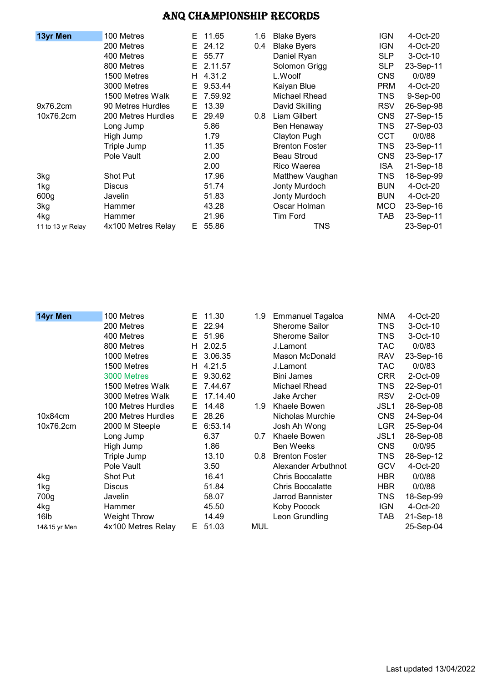| 13yr Men          | 100 Metres         | E. | 11.65   | 1.6 | <b>Blake Byers</b>    | <b>IGN</b> | 4-Oct-20  |
|-------------------|--------------------|----|---------|-----|-----------------------|------------|-----------|
|                   | 200 Metres         | E. | 24.12   | 0.4 | <b>Blake Byers</b>    | <b>IGN</b> | 4-Oct-20  |
|                   | 400 Metres         | E. | 55.77   |     | Daniel Ryan           | <b>SLP</b> | 3-Oct-10  |
|                   | 800 Metres         | E. | 2.11.57 |     | Solomon Grigg         | <b>SLP</b> | 23-Sep-11 |
|                   | 1500 Metres        | H. | 4.31.2  |     | L.Woolf               | <b>CNS</b> | 0/0/89    |
|                   | 3000 Metres        | E. | 9.53.44 |     | Kaiyan Blue           | <b>PRM</b> | 4-Oct-20  |
|                   | 1500 Metres Walk   | E. | 7.59.92 |     | Michael Rhead         | <b>TNS</b> | 9-Sep-00  |
| 9x76.2cm          | 90 Metres Hurdles  | E. | 13.39   |     | David Skilling        | <b>RSV</b> | 26-Sep-98 |
| 10x76.2cm         | 200 Metres Hurdles | E. | 29.49   | 0.8 | Liam Gilbert          | <b>CNS</b> | 27-Sep-15 |
|                   | Long Jump          |    | 5.86    |     | Ben Henaway           | <b>TNS</b> | 27-Sep-03 |
|                   | High Jump          |    | 1.79    |     | Clayton Pugh          | <b>CCT</b> | 0/0/88    |
|                   | Triple Jump        |    | 11.35   |     | <b>Brenton Foster</b> | <b>TNS</b> | 23-Sep-11 |
|                   | Pole Vault         |    | 2.00    |     | <b>Beau Stroud</b>    | <b>CNS</b> | 23-Sep-17 |
|                   |                    |    | 2.00    |     | Rico Waerea           | ISA.       | 21-Sep-18 |
| 3kg               | Shot Put           |    | 17.96   |     | Matthew Vaughan       | <b>TNS</b> | 18-Sep-99 |
| 1kg               | <b>Discus</b>      |    | 51.74   |     | Jonty Murdoch         | <b>BUN</b> | 4-Oct-20  |
| 600g              | Javelin            |    | 51.83   |     | Jonty Murdoch         | <b>BUN</b> | 4-Oct-20  |
| 3kg               | Hammer             |    | 43.28   |     | Oscar Holman          | <b>MCO</b> | 23-Sep-16 |
| 4kg               | Hammer             |    | 21.96   |     | <b>Tim Ford</b>       | TAB        | 23-Sep-11 |
| 11 to 13 yr Relay | 4x100 Metres Relay | E. | 55.86   |     | TNS                   |            | 23-Sep-01 |

| 14yr Men         | 100 Metres          | E. | 11.30    | 1.9 | <b>Emmanuel Tagaloa</b> | <b>NMA</b> | 4-Oct-20  |
|------------------|---------------------|----|----------|-----|-------------------------|------------|-----------|
|                  | 200 Metres          | E. | 22.94    |     | <b>Sherome Sailor</b>   | TNS.       | 3-Oct-10  |
|                  | 400 Metres          | E. | 51.96    |     | <b>Sherome Sailor</b>   | TNS        | 3-Oct-10  |
|                  | 800 Metres          | H. | 2.02.5   |     | J.Lamont                | <b>TAC</b> | 0/0/83    |
|                  | 1000 Metres         | Е  | 3.06.35  |     | Mason McDonald          | <b>RAV</b> | 23-Sep-16 |
|                  | 1500 Metres         | H. | 4.21.5   |     | J.Lamont                | <b>TAC</b> | 0/0/83    |
|                  | 3000 Metres         | Е  | 9.30.62  |     | <b>Bini James</b>       | <b>CRR</b> | 2-Oct-09  |
|                  | 1500 Metres Walk    | E. | 7.44.67  |     | Michael Rhead           | TNS        | 22-Sep-01 |
|                  | 3000 Metres Walk    | E. | 17.14.40 |     | Jake Archer             | <b>RSV</b> | 2-Oct-09  |
|                  | 100 Metres Hurdles  | E. | 14.48    | 1.9 | Khaele Bowen            | JSL1       | 28-Sep-08 |
| 10x84cm          | 200 Metres Hurdles  | E. | 28.26    |     | Nicholas Murchie        | <b>CNS</b> | 24-Sep-04 |
| 10x76.2cm        | 2000 M Steeple      | E. | 6:53.14  |     | Josh Ah Wong            | <b>LGR</b> | 25-Sep-04 |
|                  | Long Jump           |    | 6.37     | 0.7 | Khaele Bowen            | JSL1       | 28-Sep-08 |
|                  | High Jump           |    | 1.86     |     | <b>Ben Weeks</b>        | <b>CNS</b> | 0/0/95    |
|                  | Triple Jump         |    | 13.10    | 0.8 | <b>Brenton Foster</b>   | <b>TNS</b> | 28-Sep-12 |
|                  | Pole Vault          |    | 3.50     |     | Alexander Arbuthnot     | <b>GCV</b> | 4-Oct-20  |
| 4kg              | Shot Put            |    | 16.41    |     | <b>Chris Boccalatte</b> | <b>HBR</b> | 0/0/88    |
| 1kg              | <b>Discus</b>       |    | 51.84    |     | <b>Chris Boccalatte</b> | <b>HBR</b> | 0/0/88    |
| 700g             | Javelin             |    | 58.07    |     | <b>Jarrod Bannister</b> | TNS.       | 18-Sep-99 |
| 4kg              | Hammer              |    | 45.50    |     | Koby Pocock             | <b>IGN</b> | 4-Oct-20  |
| 16 <sub>lb</sub> | <b>Weight Throw</b> |    | 14.49    |     | Leon Grundling          | TAB        | 21-Sep-18 |
| 14&15 yr Men     | 4x100 Metres Relay  | E. | 51.03    | MUL |                         |            | 25-Sep-04 |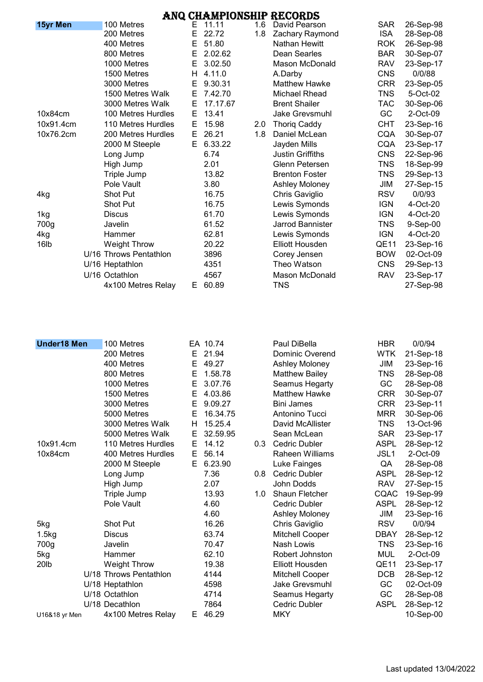|           |                        |    |          |     | ANQ CHAMPIONSHIP RECORDS |             |           |
|-----------|------------------------|----|----------|-----|--------------------------|-------------|-----------|
| 15yr Men  | 100 Metres             | E. | 11.11    | 1.6 | David Pearson            | <b>SAR</b>  | 26-Sep-98 |
|           | 200 Metres             | Е  | 22.72    | 1.8 | Zachary Raymond          | <b>ISA</b>  | 28-Sep-08 |
|           | 400 Metres             | E  | 51.80    |     | <b>Nathan Hewitt</b>     | <b>ROK</b>  | 26-Sep-98 |
|           | 800 Metres             | Е  | 2.02.62  |     | Dean Searles             | <b>BAR</b>  | 30-Sep-07 |
|           | 1000 Metres            | Е  | 3.02.50  |     | Mason McDonald           | <b>RAV</b>  | 23-Sep-17 |
|           | 1500 Metres            | H  | 4.11.0   |     | A.Darby                  | <b>CNS</b>  | 0/0/88    |
|           | 3000 Metres            | Е  | 9.30.31  |     | <b>Matthew Hawke</b>     | <b>CRR</b>  | 23-Sep-05 |
|           | 1500 Metres Walk       | Е  | 7.42.70  |     | Michael Rhead            | TNS         | 5-Oct-02  |
|           | 3000 Metres Walk       | Е  | 17.17.67 |     | <b>Brent Shailer</b>     | <b>TAC</b>  | 30-Sep-06 |
| 10x84cm   | 100 Metres Hurdles     | Е  | 13.41    |     | Jake Grevsmuhl           | GC          | 2-Oct-09  |
| 10x91.4cm | 110 Metres Hurdles     | Е  | 15.98    | 2.0 | <b>Thorig Caddy</b>      | CHT         | 23-Sep-16 |
| 10x76.2cm | 200 Metres Hurdles     | Е  | 26.21    | 1.8 | Daniel McLean            | <b>CQA</b>  | 30-Sep-07 |
|           | 2000 M Steeple         | E. | 6.33.22  |     | Jayden Mills             | CQA         | 23-Sep-17 |
|           | Long Jump              |    | 6.74     |     | <b>Justin Griffiths</b>  | <b>CNS</b>  | 22-Sep-96 |
|           | High Jump              |    | 2.01     |     | <b>Glenn Petersen</b>    | TNS         | 18-Sep-99 |
|           | Triple Jump            |    | 13.82    |     | <b>Brenton Foster</b>    | TNS         | 29-Sep-13 |
|           | Pole Vault             |    | 3.80     |     | Ashley Moloney           | JIM         | 27-Sep-15 |
| 4kg       | Shot Put               |    | 16.75    |     | Chris Gaviglio           | <b>RSV</b>  | 0/0/93    |
|           | Shot Put               |    | 16.75    |     | Lewis Symonds            | <b>IGN</b>  | 4-Oct-20  |
| 1kg       | <b>Discus</b>          |    | 61.70    |     | Lewis Symonds            | <b>IGN</b>  | 4-Oct-20  |
| 700g      | Javelin                |    | 61.52    |     | Jarrod Bannister         | TNS         | 9-Sep-00  |
| 4kg       | Hammer                 |    | 62.81    |     | Lewis Symonds            | <b>IGN</b>  | 4-Oct-20  |
| 16lb      | <b>Weight Throw</b>    |    | 20.22    |     | <b>Elliott Housden</b>   | <b>QE11</b> | 23-Sep-16 |
|           | U/16 Throws Pentathlon |    | 3896     |     | Corey Jensen             | <b>BOW</b>  | 02-Oct-09 |
|           | U/16 Heptathlon        |    | 4351     |     | Theo Watson              | <b>CNS</b>  | 29-Sep-13 |
|           | U/16 Octathlon         |    | 4567     |     | <b>Mason McDonald</b>    | <b>RAV</b>  | 23-Sep-17 |
|           | 4x100 Metres Relay     | E. | 60.89    |     | TNS                      |             | 27-Sep-98 |

| <b>Under18 Men</b> | 100 Metres             |    | EA 10.74 |     | Paul DiBella           | <b>HBR</b>       | 0/0/94    |
|--------------------|------------------------|----|----------|-----|------------------------|------------------|-----------|
|                    | 200 Metres             | Е  | 21.94    |     | Dominic Overend        | <b>WTK</b>       | 21-Sep-18 |
|                    | 400 Metres             | Е  | 49.27    |     | Ashley Moloney         | JIM              | 23-Sep-16 |
|                    | 800 Metres             | Е  | 1.58.78  |     | <b>Matthew Bailey</b>  | <b>TNS</b>       | 28-Sep-08 |
|                    | 1000 Metres            | Е  | 3.07.76  |     | Seamus Hegarty         | GC               | 28-Sep-08 |
|                    | 1500 Metres            | Е  | 4.03.86  |     | <b>Matthew Hawke</b>   | <b>CRR</b>       | 30-Sep-07 |
|                    | 3000 Metres            | E  | 9.09.27  |     | <b>Bini James</b>      | <b>CRR</b>       | 23-Sep-11 |
|                    | 5000 Metres            | Е  | 16.34.75 |     | Antonino Tucci         | <b>MRR</b>       | 30-Sep-06 |
|                    | 3000 Metres Walk       | н  | 15.25.4  |     | David McAllister       | <b>TNS</b>       | 13-Oct-96 |
|                    | 5000 Metres Walk       | E  | 32.59.95 |     | Sean McLean            | <b>SAR</b>       | 23-Sep-17 |
| 10x91.4cm          | 110 Metres Hurdles     | Е  | 14.12    | 0.3 | Cedric Dubler          | <b>ASPL</b>      | 28-Sep-12 |
| 10x84cm            | 400 Metres Hurdles     | E. | 56.14    |     | <b>Raheen Williams</b> | JSL <sub>1</sub> | 2-Oct-09  |
|                    | 2000 M Steeple         | E. | 6.23.90  |     | Luke Fainges           | QA               | 28-Sep-08 |
|                    | Long Jump              |    | 7.36     | 0.8 | <b>Cedric Dubler</b>   | <b>ASPL</b>      | 28-Sep-12 |
|                    | High Jump              |    | 2.07     |     | John Dodds             | <b>RAV</b>       | 27-Sep-15 |
|                    | Triple Jump            |    | 13.93    | 1.0 | <b>Shaun Fletcher</b>  | CQAC             | 19-Sep-99 |
|                    | Pole Vault             |    | 4.60     |     | <b>Cedric Dubler</b>   | <b>ASPL</b>      | 28-Sep-12 |
|                    |                        |    | 4.60     |     | <b>Ashley Moloney</b>  | JIM              | 23-Sep-16 |
| 5kg                | Shot Put               |    | 16.26    |     | Chris Gaviglio         | <b>RSV</b>       | 0/0/94    |
| 1.5kg              | <b>Discus</b>          |    | 63.74    |     | Mitchell Cooper        | <b>DBAY</b>      | 28-Sep-12 |
| 700g               | Javelin                |    | 70.47    |     | Nash Lowis             | TNS              | 23-Sep-16 |
| 5kg                | Hammer                 |    | 62.10    |     | Robert Johnston        | <b>MUL</b>       | 2-Oct-09  |
| 20 <sub>lb</sub>   | <b>Weight Throw</b>    |    | 19.38    |     | <b>Elliott Housden</b> | QE11             | 23-Sep-17 |
|                    | U/18 Throws Pentathlon |    | 4144     |     | Mitchell Cooper        | <b>DCB</b>       | 28-Sep-12 |
|                    | U/18 Heptathlon        |    | 4598     |     | Jake Grevsmuhl         | GC               | 02-Oct-09 |
|                    | U/18 Octathlon         |    | 4714     |     | Seamus Hegarty         | GC               | 28-Sep-08 |
|                    | U/18 Decathlon         |    | 7864     |     | <b>Cedric Dubler</b>   | <b>ASPL</b>      | 28-Sep-12 |
| U16&18 yr Men      | 4x100 Metres Relay     | E. | 46.29    |     | <b>MKY</b>             |                  | 10-Sep-00 |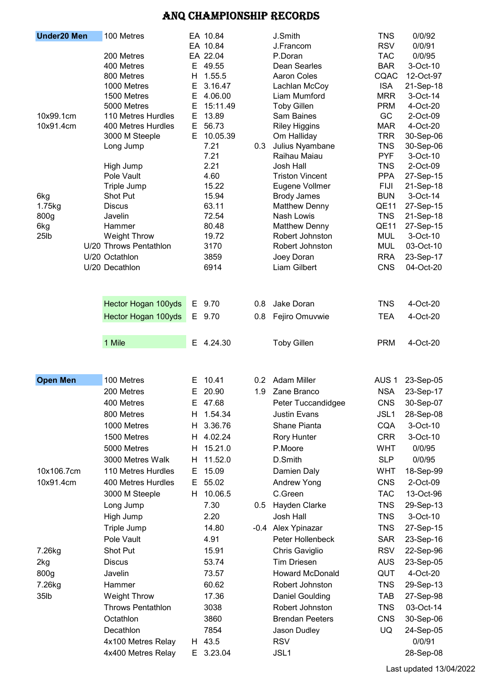| <b>Under20 Men</b> | 100 Metres                               |        | EA 10.84          |     | J.Smith                            | <b>TNS</b>       | 0/0/92               |
|--------------------|------------------------------------------|--------|-------------------|-----|------------------------------------|------------------|----------------------|
|                    |                                          |        | EA 10.84          |     | J.Francom                          | <b>RSV</b>       | 0/0/91               |
|                    | 200 Metres                               |        | EA 22.04          |     | P.Doran                            | <b>TAC</b>       | 0/0/95               |
|                    | 400 Metres                               | E.     | 49.55             |     | Dean Searles                       | <b>BAR</b>       | 3-Oct-10             |
|                    | 800 Metres                               | Н      | 1.55.5            |     | <b>Aaron Coles</b>                 | CQAC             | 12-Oct-97            |
|                    | 1000 Metres                              | Е      | 3.16.47           |     | Lachlan McCoy                      | <b>ISA</b>       | 21-Sep-18            |
|                    | 1500 Metres                              | E      | 4.06.00           |     | Liam Mumford                       | <b>MRR</b>       | 3-Oct-14             |
| 10x99.1cm          | 5000 Metres                              | Е<br>E | 15:11.49<br>13.89 |     | <b>Toby Gillen</b>                 | <b>PRM</b><br>GC | 4-Oct-20             |
| 10x91.4cm          | 110 Metres Hurdles<br>400 Metres Hurdles | E      | 56.73             |     | Sam Baines<br><b>Riley Higgins</b> | <b>MAR</b>       | 2-Oct-09<br>4-Oct-20 |
|                    | 3000 M Steeple                           | E.     | 10.05.39          |     | Om Halliday                        | <b>TRR</b>       | 30-Sep-06            |
|                    | Long Jump                                |        | 7.21              | 0.3 | Julius Nyambane                    | <b>TNS</b>       | 30-Sep-06            |
|                    |                                          |        | 7.21              |     | Raihau Maiau                       | <b>PYF</b>       | 3-Oct-10             |
|                    | High Jump                                |        | 2.21              |     | Josh Hall                          | <b>TNS</b>       | 2-Oct-09             |
|                    | Pole Vault                               |        | 4.60              |     | <b>Triston Vincent</b>             | <b>PPA</b>       | 27-Sep-15            |
|                    | Triple Jump                              |        | 15.22             |     | Eugene Vollmer                     | <b>FIJI</b>      | 21-Sep-18            |
| 6kg                | Shot Put                                 |        | 15.94             |     | <b>Brody James</b>                 | <b>BUN</b>       | 3-Oct-14             |
| 1.75kg             | <b>Discus</b>                            |        | 63.11             |     | <b>Matthew Denny</b>               | QE11             | 27-Sep-15            |
| 800g               | Javelin                                  |        | 72.54             |     | Nash Lowis                         | <b>TNS</b>       | 21-Sep-18            |
| 6kg                | Hammer                                   |        | 80.48             |     | <b>Matthew Denny</b>               | QE11             | 27-Sep-15            |
| 25lb               | <b>Weight Throw</b>                      |        | 19.72             |     | Robert Johnston                    | <b>MUL</b>       | 3-Oct-10             |
|                    | U/20 Throws Pentathlon                   |        | 3170              |     | Robert Johnston                    | <b>MUL</b>       | 03-Oct-10            |
|                    | U/20 Octathlon                           |        | 3859              |     | Joey Doran                         | <b>RRA</b>       | 23-Sep-17            |
|                    | U/20 Decathlon                           |        | 6914              |     | Liam Gilbert                       | <b>CNS</b>       | 04-Oct-20            |
|                    |                                          |        |                   |     |                                    |                  |                      |
|                    | Hector Hogan 100yds                      | E.     | 9.70              | 0.8 | Jake Doran                         | <b>TNS</b>       | 4-Oct-20             |
|                    | Hector Hogan 100yds                      | E.     | 9.70              | 0.8 | Fejiro Omuvwie                     | <b>TEA</b>       | 4-Oct-20             |
|                    | 1 Mile                                   |        | E 4.24.30         |     | <b>Toby Gillen</b>                 | <b>PRM</b>       | 4-Oct-20             |
|                    |                                          |        |                   |     |                                    |                  |                      |
| <b>Open Men</b>    | 100 Metres                               |        | E 10.41           |     | 0.2 Adam Miller                    | AUS <sub>1</sub> | 23-Sep-05            |
|                    | 200 Metres                               | Е      | 20.90             |     | 1.9 Zane Branco                    | <b>NSA</b>       | 23-Sep-17            |
|                    | 400 Metres                               |        | E 47.68           |     | Peter Tuccandidgee                 | <b>CNS</b>       | 30-Sep-07            |
|                    | 800 Metres                               | H      | 1.54.34           |     | <b>Justin Evans</b>                | JSL1             | 28-Sep-08            |
|                    | 1000 Metres                              | H.     | 3.36.76           |     | Shane Pianta                       | <b>CQA</b>       | 3-Oct-10             |
|                    | 1500 Metres                              | H      | 4.02.24           |     | Rory Hunter                        | <b>CRR</b>       | 3-Oct-10             |
|                    | 5000 Metres                              | H.     | 15.21.0           |     | P.Moore                            | <b>WHT</b>       | 0/0/95               |
|                    | 3000 Metres Walk                         | H      | 11.52.0           |     | D.Smith                            | <b>SLP</b>       | 0/0/95               |
| 10x106.7cm         | 110 Metres Hurdles                       | E.     | 15.09             |     | Damien Daly                        | <b>WHT</b>       | 18-Sep-99            |
| 10x91.4cm          | 400 Metres Hurdles                       | Е      | 55.02             |     | <b>Andrew Yong</b>                 | <b>CNS</b>       | 2-Oct-09             |
|                    | 3000 M Steeple                           | H      | 10.06.5           |     | C.Green                            | <b>TAC</b>       | 13-Oct-96            |
|                    | Long Jump                                |        | 7.30              | 0.5 | Hayden Clarke                      | <b>TNS</b>       | 29-Sep-13            |
|                    | High Jump                                |        | 2.20              |     | Josh Hall                          | <b>TNS</b>       | 3-Oct-10             |
|                    | Triple Jump                              |        | 14.80             |     | -0.4 Alex Ypinazar                 | <b>TNS</b>       | 27-Sep-15            |
|                    | Pole Vault                               |        | 4.91              |     | Peter Hollenbeck                   | <b>SAR</b>       | 23-Sep-16            |
| 7.26kg             | Shot Put                                 |        | 15.91             |     | Chris Gaviglio                     | <b>RSV</b>       | 22-Sep-96            |
|                    |                                          |        |                   |     |                                    |                  |                      |
| 2kg                | <b>Discus</b>                            |        | 53.74             |     | <b>Tim Driesen</b>                 | <b>AUS</b>       | 23-Sep-05            |
| 800g               | Javelin                                  |        | 73.57             |     | <b>Howard McDonald</b>             | QUT              | 4-Oct-20             |
| 7.26kg             | Hammer                                   |        | 60.62             |     | Robert Johnston                    | <b>TNS</b>       | 29-Sep-13            |
| 35lb               | <b>Weight Throw</b>                      |        | 17.36             |     | <b>Daniel Goulding</b>             | <b>TAB</b>       | 27-Sep-98            |
|                    | <b>Throws Pentathlon</b>                 |        | 3038              |     | Robert Johnston                    | <b>TNS</b>       | 03-Oct-14            |
|                    | Octathlon                                |        | 3860              |     | <b>Brendan Peeters</b>             | <b>CNS</b>       | 30-Sep-06            |
|                    | Decathlon                                |        | 7854              |     | Jason Dudley                       | UQ               | 24-Sep-05            |
|                    | 4x100 Metres Relay                       | H.     | 43.5              |     | <b>RSV</b>                         |                  | 0/0/91               |
|                    | 4x400 Metres Relay                       | E.     | 3.23.04           |     | JSL1                               |                  | 28-Sep-08            |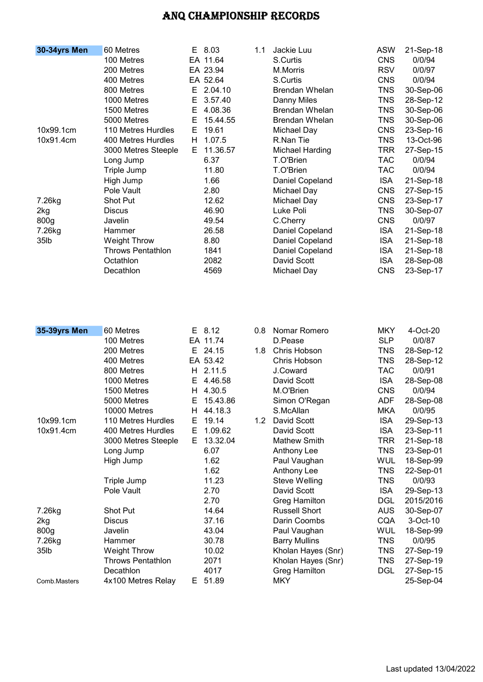| 30-34yrs Men     | 60 Metres                |    | E 8.03   | 1.1 | Jackie Luu            | <b>ASW</b> | 21-Sep-18 |
|------------------|--------------------------|----|----------|-----|-----------------------|------------|-----------|
|                  | 100 Metres               |    | EA 11.64 |     | S.Curtis              | <b>CNS</b> | 0/0/94    |
|                  | 200 Metres               |    | EA 23.94 |     | M.Morris              | <b>RSV</b> | 0/0/97    |
|                  | 400 Metres               |    | EA 52.64 |     | S.Curtis              | <b>CNS</b> | 0/0/94    |
|                  | 800 Metres               | E. | 2.04.10  |     | <b>Brendan Whelan</b> | <b>TNS</b> | 30-Sep-06 |
|                  | 1000 Metres              | Е  | 3.57.40  |     | Danny Miles           | <b>TNS</b> | 28-Sep-12 |
|                  | 1500 Metres              | E. | 4.08.36  |     | Brendan Whelan        | <b>TNS</b> | 30-Sep-06 |
|                  | 5000 Metres              | Е  | 15.44.55 |     | Brendan Whelan        | <b>TNS</b> | 30-Sep-06 |
| 10x99.1cm        | 110 Metres Hurdles       | E. | 19.61    |     | Michael Day           | <b>CNS</b> | 23-Sep-16 |
| 10x91.4cm        | 400 Metres Hurdles       | H. | 1.07.5   |     | R.Nan Tie             | <b>TNS</b> | 13-Oct-96 |
|                  | 3000 Metres Steeple      | E. | 11.36.57 |     | Michael Harding       | <b>TRR</b> | 27-Sep-15 |
|                  | Long Jump                |    | 6.37     |     | T.O'Brien             | <b>TAC</b> | 0/0/94    |
|                  | Triple Jump              |    | 11.80    |     | T.O'Brien             | <b>TAC</b> | 0/0/94    |
|                  | High Jump                |    | 1.66     |     | Daniel Copeland       | <b>ISA</b> | 21-Sep-18 |
|                  | Pole Vault               |    | 2.80     |     | Michael Day           | <b>CNS</b> | 27-Sep-15 |
| 7.26kg           | Shot Put                 |    | 12.62    |     | Michael Day           | <b>CNS</b> | 23-Sep-17 |
| 2kg              | <b>Discus</b>            |    | 46.90    |     | Luke Poli             | <b>TNS</b> | 30-Sep-07 |
| 800 <sub>g</sub> | Javelin                  |    | 49.54    |     | C.Cherry              | <b>CNS</b> | 0/0/97    |
| 7.26kg           | Hammer                   |    | 26.58    |     | Daniel Copeland       | <b>ISA</b> | 21-Sep-18 |
| 35lb             | Weight Throw             |    | 8.80     |     | Daniel Copeland       | <b>ISA</b> | 21-Sep-18 |
|                  | <b>Throws Pentathlon</b> |    | 1841     |     | Daniel Copeland       | <b>ISA</b> | 21-Sep-18 |
|                  | Octathion                |    | 2082     |     | David Scott           | <b>ISA</b> | 28-Sep-08 |
|                  | Decathlon                |    | 4569     |     | Michael Day           | <b>CNS</b> | 23-Sep-17 |
|                  |                          |    |          |     |                       |            |           |

| 35-39yrs Men      | 60 Metres                |    | $E$ 8.12 | 0.8              | Nomar Romero         | <b>MKY</b> | $4$ -Oct-20 |
|-------------------|--------------------------|----|----------|------------------|----------------------|------------|-------------|
|                   | 100 Metres               |    | EA 11.74 |                  | D.Pease              | <b>SLP</b> | 0/0/87      |
|                   | 200 Metres               | E. | 24.15    | 1.8              | Chris Hobson         | TNS        | 28-Sep-12   |
|                   | 400 Metres               |    | EA 53.42 |                  | Chris Hobson         | <b>TNS</b> | 28-Sep-12   |
|                   | 800 Metres               | H. | 2.11.5   |                  | J.Coward             | <b>TAC</b> | 0/0/91      |
|                   | 1000 Metres              | Е  | 4.46.58  |                  | David Scott          | <b>ISA</b> | 28-Sep-08   |
|                   | 1500 Metres              | H. | 4.30.5   |                  | M.O'Brien            | <b>CNS</b> | 0/0/94      |
|                   | 5000 Metres              | Е  | 15.43.86 |                  | Simon O'Regan        | <b>ADF</b> | 28-Sep-08   |
|                   | 10000 Metres             | H. | 44.18.3  |                  | S.McAllan            | <b>MKA</b> | 0/0/95      |
| 10x99.1cm         | 110 Metres Hurdles       | Е  | 19.14    | 1.2 <sub>1</sub> | David Scott          | <b>ISA</b> | 29-Sep-13   |
| 10x91.4cm         | 400 Metres Hurdles       | E. | 1.09.62  |                  | David Scott          | <b>ISA</b> | 23-Sep-11   |
|                   | 3000 Metres Steeple      | E. | 13.32.04 |                  | <b>Mathew Smith</b>  | <b>TRR</b> | 21-Sep-18   |
|                   | Long Jump                |    | 6.07     |                  | Anthony Lee          | <b>TNS</b> | 23-Sep-01   |
|                   | High Jump                |    | 1.62     |                  | Paul Vaughan         | <b>WUL</b> | 18-Sep-99   |
|                   |                          |    | 1.62     |                  | Anthony Lee          | <b>TNS</b> | 22-Sep-01   |
|                   | Triple Jump              |    | 11.23    |                  | <b>Steve Welling</b> | TNS        | 0/0/93      |
|                   | Pole Vault               |    | 2.70     |                  | David Scott          | <b>ISA</b> | 29-Sep-13   |
|                   |                          |    | 2.70     |                  | Greg Hamilton        | <b>DGL</b> | 2015/2016   |
| 7.26kg            | <b>Shot Put</b>          |    | 14.64    |                  | <b>Russell Short</b> | <b>AUS</b> | 30-Sep-07   |
| 2kg               | <b>Discus</b>            |    | 37.16    |                  | Darin Coombs         | <b>CQA</b> | 3-Oct-10    |
| 800g              | Javelin                  |    | 43.04    |                  | Paul Vaughan         | WUL        | 18-Sep-99   |
| 7.26kg            | Hammer                   |    | 30.78    |                  | <b>Barry Mullins</b> | <b>TNS</b> | 0/0/95      |
| 35 <sub>1</sub> b | <b>Weight Throw</b>      |    | 10.02    |                  | Kholan Hayes (Snr)   | <b>TNS</b> | 27-Sep-19   |
|                   | <b>Throws Pentathlon</b> |    | 2071     |                  | Kholan Hayes (Snr)   | <b>TNS</b> | 27-Sep-19   |
|                   | Decathlon                |    | 4017     |                  | Greg Hamilton        | <b>DGL</b> | 27-Sep-15   |
| Comb.Masters      | 4x100 Metres Relay       | E. | 51.89    |                  | <b>MKY</b>           |            | 25-Sep-04   |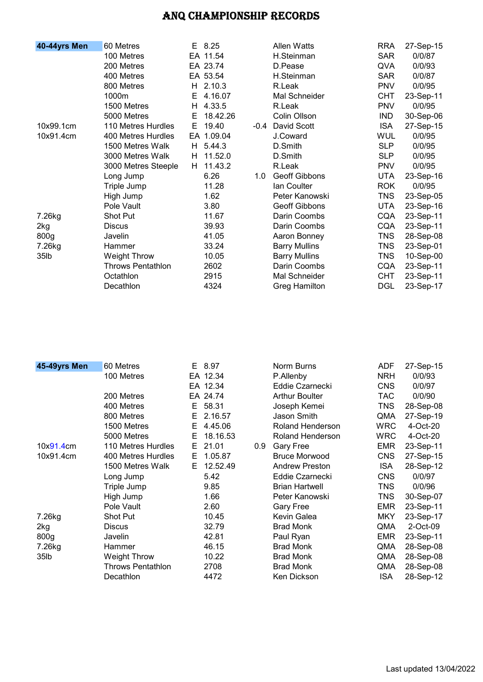| 40-44yrs Men     | 60 Metres           | E. | 8.25       |     | <b>Allen Watts</b>   | <b>RRA</b> | 27-Sep-15 |
|------------------|---------------------|----|------------|-----|----------------------|------------|-----------|
|                  | 100 Metres          |    | EA 11.54   |     | H.Steinman           | <b>SAR</b> | 0/0/87    |
|                  | 200 Metres          |    | EA 23.74   |     | D.Pease              | QVA        | 0/0/93    |
|                  | 400 Metres          |    | EA 53.54   |     | H.Steinman           | <b>SAR</b> | 0/0/87    |
|                  | 800 Metres          |    | H 2.10.3   |     | R.Leak               | <b>PNV</b> | 0/0/95    |
|                  | 1000m               | E. | 4.16.07    |     | Mal Schneider        | <b>CHT</b> | 23-Sep-11 |
|                  | 1500 Metres         | H. | 4.33.5     |     | R.Leak               | <b>PNV</b> | 0/0/95    |
|                  | 5000 Metres         | Е  | 18.42.26   |     | Colin Ollson         | <b>IND</b> | 30-Sep-06 |
| 10x99.1cm        | 110 Metres Hurdles  | E. | 19.40      |     | -0.4 David Scott     | <b>ISA</b> | 27-Sep-15 |
| 10x91.4cm        | 400 Metres Hurdles  |    | EA 1.09.04 |     | J.Coward             | <b>WUL</b> | 0/0/95    |
|                  | 1500 Metres Walk    | H. | 5.44.3     |     | D.Smith              | <b>SLP</b> | 0/0/95    |
|                  | 3000 Metres Walk    | H. | 11.52.0    |     | D.Smith              | <b>SLP</b> | 0/0/95    |
|                  | 3000 Metres Steeple | H. | 11.43.2    |     | R.Leak               | <b>PNV</b> | 0/0/95    |
|                  | Long Jump           |    | 6.26       | 1.0 | <b>Geoff Gibbons</b> | <b>UTA</b> | 23-Sep-16 |
|                  | Triple Jump         |    | 11.28      |     | Ian Coulter          | <b>ROK</b> | 0/0/95    |
|                  | High Jump           |    | 1.62       |     | Peter Kanowski       | <b>TNS</b> | 23-Sep-05 |
|                  | Pole Vault          |    | 3.80       |     | Geoff Gibbons        | <b>UTA</b> | 23-Sep-16 |
| 7.26kg           | Shot Put            |    | 11.67      |     | Darin Coombs         | CQA        | 23-Sep-11 |
| 2kg              | <b>Discus</b>       |    | 39.93      |     | Darin Coombs         | <b>CQA</b> | 23-Sep-11 |
| 800g             | Javelin             |    | 41.05      |     | Aaron Bonney         | <b>TNS</b> | 28-Sep-08 |
| 7.26kg           | Hammer              |    | 33.24      |     | <b>Barry Mullins</b> | <b>TNS</b> | 23-Sep-01 |
| 35 <sub>lb</sub> | <b>Weight Throw</b> |    | 10.05      |     | <b>Barry Mullins</b> | <b>TNS</b> | 10-Sep-00 |
|                  | Throws Pentathlon   |    | 2602       |     | Darin Coombs         | CQA        | 23-Sep-11 |
|                  | Octathlon           |    | 2915       |     | Mal Schneider        | <b>CHT</b> | 23-Sep-11 |
|                  | Decathlon           |    | 4324       |     | Greg Hamilton        | <b>DGL</b> | 23-Sep-17 |

| 45-49yrs Men     | 60 Metres                |    | E 8.97   |     | Norm Burns            | <b>ADF</b> | 27-Sep-15 |
|------------------|--------------------------|----|----------|-----|-----------------------|------------|-----------|
|                  | 100 Metres               |    | EA 12.34 |     | P.Allenby             | <b>NRH</b> | 0/0/93    |
|                  |                          |    | EA 12.34 |     | Eddie Czarnecki       | <b>CNS</b> | 0/0/97    |
|                  | 200 Metres               |    | EA 24.74 |     | <b>Arthur Boulter</b> | <b>TAC</b> | 0/0/90    |
|                  | 400 Metres               | E. | 58.31    |     | Joseph Kemei          | TNS        | 28-Sep-08 |
|                  | 800 Metres               | Е  | 2.16.57  |     | Jason Smith           | QMA        | 27-Sep-19 |
|                  | 1500 Metres              | Е  | 4.45.06  |     | Roland Henderson      | <b>WRC</b> | 4-Oct-20  |
|                  | 5000 Metres              | Е  | 18.16.53 |     | Roland Henderson      | <b>WRC</b> | 4-Oct-20  |
| 10x91.4cm        | 110 Metres Hurdles       | E. | 21.01    | 0.9 | <b>Gary Free</b>      | <b>EMR</b> | 23-Sep-11 |
| 10x91.4cm        | 400 Metres Hurdles       | E. | 1.05.87  |     | <b>Bruce Morwood</b>  | <b>CNS</b> | 27-Sep-15 |
|                  | 1500 Metres Walk         | E. | 12.52.49 |     | <b>Andrew Preston</b> | <b>ISA</b> | 28-Sep-12 |
|                  | Long Jump                |    | 5.42     |     | Eddie Czarnecki       | <b>CNS</b> | 0/0/97    |
|                  | Triple Jump              |    | 9.85     |     | <b>Brian Hartwell</b> | <b>TNS</b> | 0/0/96    |
|                  | High Jump                |    | 1.66     |     | Peter Kanowski        | <b>TNS</b> | 30-Sep-07 |
|                  | Pole Vault               |    | 2.60     |     | <b>Gary Free</b>      | <b>EMR</b> | 23-Sep-11 |
| 7.26kg           | Shot Put                 |    | 10.45    |     | Kevin Galea           | <b>MKY</b> | 23-Sep-17 |
| 2kg              | <b>Discus</b>            |    | 32.79    |     | <b>Brad Monk</b>      | QMA        | 2-Oct-09  |
| 800 <sub>g</sub> | Javelin                  |    | 42.81    |     | Paul Ryan             | <b>EMR</b> | 23-Sep-11 |
| 7.26kg           | Hammer                   |    | 46.15    |     | <b>Brad Monk</b>      | QMA        | 28-Sep-08 |
| 35lb             | Weight Throw             |    | 10.22    |     | <b>Brad Monk</b>      | QMA        | 28-Sep-08 |
|                  | <b>Throws Pentathlon</b> |    | 2708     |     | <b>Brad Monk</b>      | QMA        | 28-Sep-08 |
|                  | Decathlon                |    | 4472     |     | Ken Dickson           | <b>ISA</b> | 28-Sep-12 |
|                  |                          |    |          |     |                       |            |           |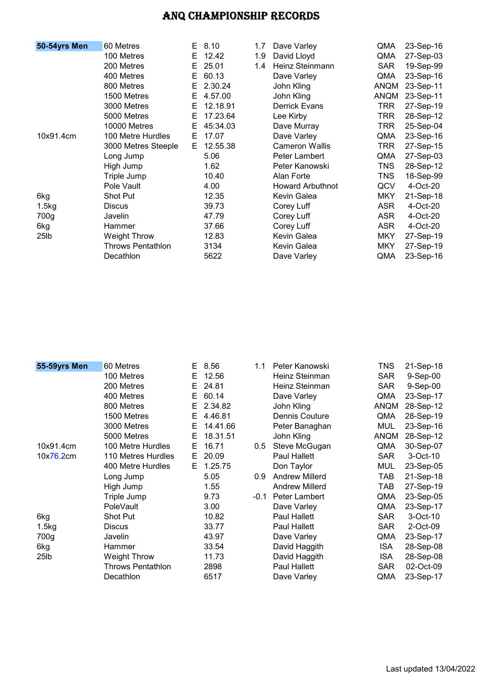| 50-54yrs Men      | 60 Metres                | E. | 8.10     | 1.7 | Dave Varley             | QMA         | 23-Sep-16 |
|-------------------|--------------------------|----|----------|-----|-------------------------|-------------|-----------|
|                   | 100 Metres               | E. | 12.42    | 1.9 | David Lloyd             | QMA         | 27-Sep-03 |
|                   | 200 Metres               | E. | 25.01    | 1.4 | Heinz Steinmann         | <b>SAR</b>  | 19-Sep-99 |
|                   | 400 Metres               | E. | 60.13    |     | Dave Varley             | QMA         | 23-Sep-16 |
|                   | 800 Metres               | E. | 2.30.24  |     | John Kling              | <b>ANQM</b> | 23-Sep-11 |
|                   | 1500 Metres              | E. | 4.57.00  |     | John Kling              | <b>ANQM</b> | 23-Sep-11 |
|                   | 3000 Metres              | E. | 12.18.91 |     | <b>Derrick Evans</b>    | <b>TRR</b>  | 27-Sep-19 |
|                   | 5000 Metres              | E. | 17.23.64 |     | Lee Kirby               | TRR         | 28-Sep-12 |
|                   | 10000 Metres             | E. | 45:34.03 |     | Dave Murray             | <b>TRR</b>  | 25-Sep-04 |
| 10x91.4cm         | 100 Metre Hurdles        | E. | 17.07    |     | Dave Varley             | QMA         | 23-Sep-16 |
|                   | 3000 Metres Steeple      | E. | 12.55.38 |     | Cameron Wallis          | TRR         | 27-Sep-15 |
|                   | Long Jump                |    | 5.06     |     | <b>Peter Lambert</b>    | QMA         | 27-Sep-03 |
|                   | High Jump                |    | 1.62     |     | Peter Kanowski          | TNS         | 28-Sep-12 |
|                   | Triple Jump              |    | 10.40    |     | Alan Forte              | <b>TNS</b>  | 18-Sep-99 |
|                   | Pole Vault               |    | 4.00     |     | <b>Howard Arbuthnot</b> | QCV         | 4-Oct-20  |
| 6kg               | Shot Put                 |    | 12.35    |     | Kevin Galea             | <b>MKY</b>  | 21-Sep-18 |
| 1.5kg             | <b>Discus</b>            |    | 39.73    |     | Corey Luff              | <b>ASR</b>  | 4-Oct-20  |
| 700g              | Javelin                  |    | 47.79    |     | Corey Luff              | ASR         | 4-Oct-20  |
| 6kg               | Hammer                   |    | 37.66    |     | Corey Luff              | <b>ASR</b>  | 4-Oct-20  |
| 25 <sub>1</sub> b | <b>Weight Throw</b>      |    | 12.83    |     | Kevin Galea             | <b>MKY</b>  | 27-Sep-19 |
|                   | <b>Throws Pentathlon</b> |    | 3134     |     | Kevin Galea             | <b>MKY</b>  | 27-Sep-19 |
|                   | Decathlon                |    | 5622     |     | Dave Varley             | QMA         | 23-Sep-16 |
|                   |                          |    |          |     |                         |             |           |

| 55-59yrs Men | 60 Metres           | E. | 8.56     | 1.1  | Peter Kanowski        | TNS         | 21-Sep-18  |
|--------------|---------------------|----|----------|------|-----------------------|-------------|------------|
|              | 100 Metres          | E  | 12.56    |      | Heinz Steinman        | <b>SAR</b>  | $9-Sep-00$ |
|              | 200 Metres          | Е  | 24.81    |      | Heinz Steinman        | <b>SAR</b>  | $9-Sep-00$ |
|              | 400 Metres          | E. | 60.14    |      | Dave Varley           | QMA         | 23-Sep-17  |
|              | 800 Metres          | E. | 2.34.82  |      | John Kling            | <b>ANQM</b> | 28-Sep-12  |
|              | 1500 Metres         | Е  | 4.46.81  |      | Dennis Couture        | QMA         | 28-Sep-19  |
|              | 3000 Metres         | E. | 14.41.66 |      | Peter Banaghan        | <b>MUL</b>  | 23-Sep-16  |
|              | 5000 Metres         | E. | 18.31.51 |      | John Kling            | <b>ANQM</b> | 28-Sep-12  |
| 10x91.4cm    | 100 Metre Hurdles   | Е  | 16.71    | 0.5  | Steve McGugan         | QMA         | 30-Sep-07  |
| 10x76.2cm    | 110 Metres Hurdles  | E. | 20.09    |      | <b>Paul Hallett</b>   | <b>SAR</b>  | 3-Oct-10   |
|              | 400 Metre Hurdles   | E. | 1.25.75  |      | Don Taylor            | <b>MUL</b>  | 23-Sep-05  |
|              | Long Jump           |    | 5.05     | 0.9  | <b>Andrew Millerd</b> | TAB         | 21-Sep-18  |
|              | High Jump           |    | 1.55     |      | <b>Andrew Millerd</b> | TAB         | 27-Sep-19  |
|              | Triple Jump         |    | 9.73     | -0.1 | Peter Lambert         | QMA         | 23-Sep-05  |
|              | <b>PoleVault</b>    |    | 3.00     |      | Dave Varley           | QMA         | 23-Sep-17  |
| 6kg          | <b>Shot Put</b>     |    | 10.82    |      | <b>Paul Hallett</b>   | <b>SAR</b>  | 3-Oct-10   |
| 1.5kg        | <b>Discus</b>       |    | 33.77    |      | <b>Paul Hallett</b>   | <b>SAR</b>  | 2-Oct-09   |
| 700g         | Javelin             |    | 43.97    |      | Dave Varley           | QMA         | 23-Sep-17  |
| 6kg          | Hammer              |    | 33.54    |      | David Haggith         | <b>ISA</b>  | 28-Sep-08  |
| 25lb         | <b>Weight Throw</b> |    | 11.73    |      | David Haggith         | <b>ISA</b>  | 28-Sep-08  |
|              | Throws Pentathlon   |    | 2898     |      | Paul Hallett          | <b>SAR</b>  | 02-Oct-09  |
|              | Decathlon           |    | 6517     |      | Dave Varley           | QMA         | 23-Sep-17  |
|              |                     |    |          |      |                       |             |            |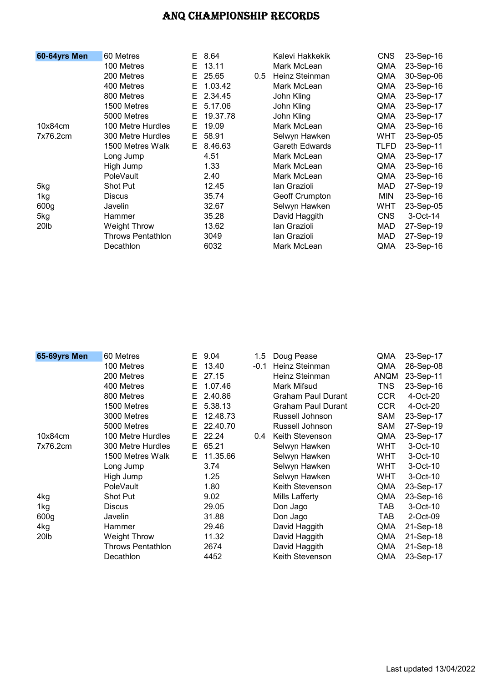| 60-64yrs Men     | 60 Metres                | E. | 8.64     |               | Kalevi Hakkekik       | <b>CNS</b> | 23-Sep-16 |
|------------------|--------------------------|----|----------|---------------|-----------------------|------------|-----------|
|                  | 100 Metres               | E  | 13.11    |               | Mark McLean           | QMA        | 23-Sep-16 |
|                  | 200 Metres               | E. | 25.65    | $0.5^{\circ}$ | Heinz Steinman        | QMA        | 30-Sep-06 |
|                  | 400 Metres               | E. | 1.03.42  |               | Mark McLean           | QMA        | 23-Sep-16 |
|                  | 800 Metres               | E. | 2.34.45  |               | John Kling            | QMA        | 23-Sep-17 |
|                  | 1500 Metres              | E. | 5.17.06  |               | John Kling            | QMA        | 23-Sep-17 |
|                  | 5000 Metres              | E. | 19.37.78 |               | John Kling            | QMA        | 23-Sep-17 |
| 10x84cm          | 100 Metre Hurdles        | E. | 19.09    |               | Mark McLean           | QMA        | 23-Sep-16 |
| 7x76.2cm         | 300 Metre Hurdles        | E. | 58.91    |               | Selwyn Hawken         | <b>WHT</b> | 23-Sep-05 |
|                  | 1500 Metres Walk         | E. | 8.46.63  |               | <b>Gareth Edwards</b> | TLFD       | 23-Sep-11 |
|                  | Long Jump                |    | 4.51     |               | Mark McLean           | QMA        | 23-Sep-17 |
|                  | High Jump                |    | 1.33     |               | Mark McLean           | QMA        | 23-Sep-16 |
|                  | PoleVault                |    | 2.40     |               | Mark McLean           | QMA        | 23-Sep-16 |
| 5kg              | Shot Put                 |    | 12.45    |               | lan Grazioli          | MAD        | 27-Sep-19 |
| 1kg              | <b>Discus</b>            |    | 35.74    |               | Geoff Crumpton        | <b>MIN</b> | 23-Sep-16 |
| 600 <sub>g</sub> | Javelin                  |    | 32.67    |               | Selwyn Hawken         | <b>WHT</b> | 23-Sep-05 |
| 5kg              | Hammer                   |    | 35.28    |               | David Haggith         | <b>CNS</b> | 3-Oct-14  |
| 20 <sub>lb</sub> | Weight Throw             |    | 13.62    |               | lan Grazioli          | MAD        | 27-Sep-19 |
|                  | <b>Throws Pentathlon</b> |    | 3049     |               | lan Grazioli          | MAD        | 27-Sep-19 |
|                  | Decathlon                |    | 6032     |               | Mark McLean           | QMA        | 23-Sep-16 |

| 65-69yrs Men     | 60 Metres                | E. | 9.04     | $1.5\,$       | Doug Pease                | QMA         | 23-Sep-17 |
|------------------|--------------------------|----|----------|---------------|---------------------------|-------------|-----------|
|                  | 100 Metres               | E. | 13.40    | $-0.1$        | Heinz Steinman            | QMA         | 28-Sep-08 |
|                  | 200 Metres               | E. | 27.15    |               | Heinz Steinman            | <b>ANQM</b> | 23-Sep-11 |
|                  | 400 Metres               | Е  | 1.07.46  |               | Mark Mifsud               | TNS         | 23-Sep-16 |
|                  | 800 Metres               | E. | 2.40.86  |               | <b>Graham Paul Durant</b> | <b>CCR</b>  | 4-Oct-20  |
|                  | 1500 Metres              | E. | 5.38.13  |               | <b>Graham Paul Durant</b> | <b>CCR</b>  | 4-Oct-20  |
|                  | 3000 Metres              | E. | 12.48.73 |               | Russell Johnson           | SAM         | 23-Sep-17 |
|                  | 5000 Metres              | E. | 22.40.70 |               | Russell Johnson           | SAM         | 27-Sep-19 |
| 10x84cm          | 100 Metre Hurdles        | E. | 22.24    | $0.4^{\circ}$ | Keith Stevenson           | QMA         | 23-Sep-17 |
| 7x76.2cm         | 300 Metre Hurdles        | E. | 65.21    |               | Selwyn Hawken             | <b>WHT</b>  | 3-Oct-10  |
|                  | 1500 Metres Walk         | E. | 11.35.66 |               | Selwyn Hawken             | <b>WHT</b>  | 3-Oct-10  |
|                  | Long Jump                |    | 3.74     |               | Selwyn Hawken             | <b>WHT</b>  | 3-Oct-10  |
|                  | High Jump                |    | 1.25     |               | Selwyn Hawken             | <b>WHT</b>  | 3-Oct-10  |
|                  | <b>PoleVault</b>         |    | 1.80     |               | Keith Stevenson           | QMA         | 23-Sep-17 |
| 4kg              | <b>Shot Put</b>          |    | 9.02     |               | Mills Lafferty            | QMA         | 23-Sep-16 |
| 1kg              | <b>Discus</b>            |    | 29.05    |               | Don Jago                  | TAB         | 3-Oct-10  |
| 600 <sub>g</sub> | Javelin                  |    | 31.88    |               | Don Jago                  | TAB         | 2-Oct-09  |
| 4kg              | Hammer                   |    | 29.46    |               | David Haggith             | QMA         | 21-Sep-18 |
| 20lb             | Weight Throw             |    | 11.32    |               | David Haggith             | QMA         | 21-Sep-18 |
|                  | <b>Throws Pentathlon</b> |    | 2674     |               | David Haggith             | QMA         | 21-Sep-18 |
|                  | Decathlon                |    | 4452     |               | Keith Stevenson           | QMA         | 23-Sep-17 |
|                  |                          |    |          |               |                           |             |           |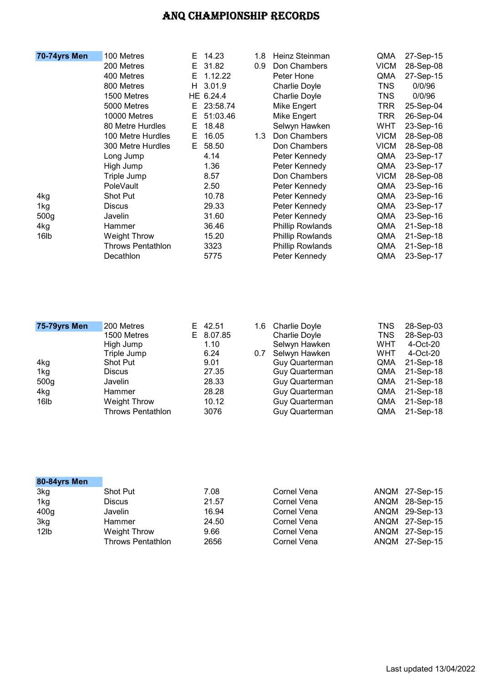| 70-74yrs Men     | 100 Metres               | E. | 14.23     | 1.8 | Heinz Steinman          | QMA         | 27-Sep-15 |
|------------------|--------------------------|----|-----------|-----|-------------------------|-------------|-----------|
|                  | 200 Metres               | E. | 31.82     | 0.9 | Don Chambers            | <b>VICM</b> | 28-Sep-08 |
|                  | 400 Metres               | E. | 1.12.22   |     | Peter Hone              | QMA         | 27-Sep-15 |
|                  | 800 Metres               | H. | 3.01.9    |     | Charlie Doyle           | TNS         | 0/0/96    |
|                  | 1500 Metres              |    | HE 6.24.4 |     | Charlie Doyle           | TNS         | 0/0/96    |
|                  | 5000 Metres              | E. | 23:58.74  |     | Mike Engert             | TRR         | 25-Sep-04 |
|                  | 10000 Metres             | E  | 51:03.46  |     | Mike Engert             | TRR         | 26-Sep-04 |
|                  | 80 Metre Hurdles         | E. | 18.48     |     | Selwyn Hawken           | WHT         | 23-Sep-16 |
|                  | 100 Metre Hurdles        | Е  | 16.05     | 1.3 | Don Chambers            | <b>VICM</b> | 28-Sep-08 |
|                  | 300 Metre Hurdles        | E. | 58.50     |     | Don Chambers            | <b>VICM</b> | 28-Sep-08 |
|                  | Long Jump                |    | 4.14      |     | Peter Kennedy           | QMA         | 23-Sep-17 |
|                  | High Jump                |    | 1.36      |     | Peter Kennedy           | QMA         | 23-Sep-17 |
|                  | Triple Jump              |    | 8.57      |     | Don Chambers            | <b>VICM</b> | 28-Sep-08 |
|                  | <b>PoleVault</b>         |    | 2.50      |     | Peter Kennedy           | QMA         | 23-Sep-16 |
| 4kg              | <b>Shot Put</b>          |    | 10.78     |     | Peter Kennedy           | QMA         | 23-Sep-16 |
| 1kg              | <b>Discus</b>            |    | 29.33     |     | Peter Kennedy           | QMA         | 23-Sep-17 |
| 500 <sub>g</sub> | Javelin                  |    | 31.60     |     | Peter Kennedy           | QMA         | 23-Sep-16 |
| 4kg              | Hammer                   |    | 36.46     |     | <b>Phillip Rowlands</b> | QMA         | 21-Sep-18 |
| 16lb             | <b>Weight Throw</b>      |    | 15.20     |     | <b>Phillip Rowlands</b> | QMA         | 21-Sep-18 |
|                  | <b>Throws Pentathlon</b> |    | 3323      |     | <b>Phillip Rowlands</b> | QMA         | 21-Sep-18 |
|                  | Decathlon                |    | 5775      |     | Peter Kennedy           | QMA         | 23-Sep-17 |

| 75-79yrs Men     | 200 Metres               | E 42.51   | 1.6 | <b>Charlie Doyle</b>  | TNS        | 28-Sep-03 |
|------------------|--------------------------|-----------|-----|-----------------------|------------|-----------|
|                  | 1500 Metres              | E 8.07.85 |     | Charlie Doyle         | TNS        | 28-Sep-03 |
|                  | High Jump                | 1.10      |     | Selwyn Hawken         | WHT        | 4-Oct-20  |
|                  | Triple Jump              | 6.24      | 0.7 | Selwyn Hawken         | <b>WHT</b> | 4-Oct-20  |
| 4kg              | <b>Shot Put</b>          | 9.01      |     | <b>Guy Quarterman</b> | QMA        | 21-Sep-18 |
| 1kg              | <b>Discus</b>            | 27.35     |     | <b>Guy Quarterman</b> | QMA        | 21-Sep-18 |
| 500 <sub>g</sub> | Javelin                  | 28.33     |     | Guy Quarterman        | QMA        | 21-Sep-18 |
| 4kg              | Hammer                   | 28.28     |     | Guy Quarterman        | QMA        | 21-Sep-18 |
| 16 <sub>lb</sub> | <b>Weight Throw</b>      | 10.12     |     | <b>Guy Quarterman</b> | QMA        | 21-Sep-18 |
|                  | <b>Throws Pentathlon</b> | 3076      |     | <b>Guy Quarterman</b> | QMA        | 21-Sep-18 |

| 80-84yrs Men     |                          |       |             |                |
|------------------|--------------------------|-------|-------------|----------------|
| 3kg              | <b>Shot Put</b>          | 7.08  | Cornel Vena | ANQM 27-Sep-15 |
| 1kg              | <b>Discus</b>            | 21.57 | Cornel Vena | ANQM 28-Sep-15 |
| 400 <sub>g</sub> | Javelin                  | 16.94 | Cornel Vena | ANQM 29-Sep-13 |
| 3kg              | Hammer                   | 24.50 | Cornel Vena | ANQM 27-Sep-15 |
| 12lb             | Weight Throw             | 9.66  | Cornel Vena | ANQM 27-Sep-15 |
|                  | <b>Throws Pentathlon</b> | 2656  | Cornel Vena | ANQM 27-Sep-15 |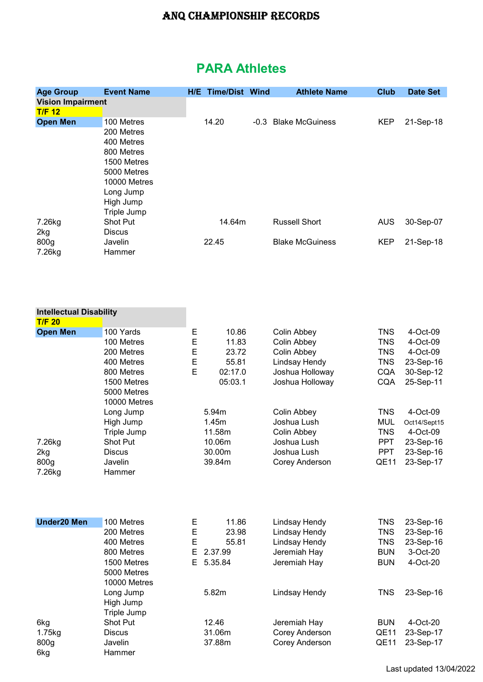# PARA Athletes

| <b>Age Group</b>                | <b>Event Name</b>                                                                                                                           |                    | <b>H/E Time/Dist Wind</b>                                       | <b>Athlete Name</b>                                                                                             | <b>Club</b>                                                                             | <b>Date Set</b>                                                                         |
|---------------------------------|---------------------------------------------------------------------------------------------------------------------------------------------|--------------------|-----------------------------------------------------------------|-----------------------------------------------------------------------------------------------------------------|-----------------------------------------------------------------------------------------|-----------------------------------------------------------------------------------------|
| <b>Vision Impairment</b>        |                                                                                                                                             |                    |                                                                 |                                                                                                                 |                                                                                         |                                                                                         |
| T/F 12                          |                                                                                                                                             |                    |                                                                 |                                                                                                                 |                                                                                         |                                                                                         |
| <b>Open Men</b>                 | 100 Metres<br>200 Metres<br>400 Metres<br>800 Metres<br>1500 Metres<br>5000 Metres<br>10000 Metres<br>Long Jump<br>High Jump<br>Triple Jump |                    | 14.20                                                           | -0.3 Blake McGuiness                                                                                            | <b>KEP</b>                                                                              | 21-Sep-18                                                                               |
| 7.26kg<br>2kg                   | Shot Put<br><b>Discus</b>                                                                                                                   |                    | 14.64m                                                          | <b>Russell Short</b>                                                                                            | <b>AUS</b>                                                                              | 30-Sep-07                                                                               |
| 800g<br>7.26kg                  | Javelin<br>Hammer                                                                                                                           |                    | 22.45                                                           | <b>Blake McGuiness</b>                                                                                          | <b>KEP</b>                                                                              | 21-Sep-18                                                                               |
| <b>Intellectual Disability</b>  |                                                                                                                                             |                    |                                                                 |                                                                                                                 |                                                                                         |                                                                                         |
| T/F <sub>20</sub>               |                                                                                                                                             |                    |                                                                 |                                                                                                                 |                                                                                         |                                                                                         |
| <b>Open Men</b>                 | 100 Yards                                                                                                                                   | Е                  | 10.86                                                           | Colin Abbey                                                                                                     | <b>TNS</b>                                                                              | 4-Oct-09                                                                                |
|                                 | 100 Metres<br>200 Metres<br>400 Metres<br>800 Metres<br>1500 Metres<br>5000 Metres<br>10000 Metres<br>Long Jump<br>High Jump                | E<br>E<br>E<br>E   | 11.83<br>23.72<br>55.81<br>02:17.0<br>05:03.1<br>5.94m<br>1.45m | Colin Abbey<br>Colin Abbey<br>Lindsay Hendy<br>Joshua Holloway<br>Joshua Holloway<br>Colin Abbey<br>Joshua Lush | <b>TNS</b><br><b>TNS</b><br><b>TNS</b><br><b>CQA</b><br><b>CQA</b><br><b>TNS</b><br>MUL | 4-Oct-09<br>4-Oct-09<br>23-Sep-16<br>30-Sep-12<br>25-Sep-11<br>4-Oct-09<br>Oct14/Sept15 |
| 7.26kg<br>2kg<br>800g<br>7.26kg | Triple Jump<br>Shot Put<br><b>Discus</b><br>Javelin<br>Hammer                                                                               |                    | 11.58m<br>10.06m<br>30.00m<br>39.84m                            | Colin Abbey<br>Joshua Lush<br>Joshua Lush<br><b>Corey Anderson</b>                                              | <b>TNS</b><br><b>PPT</b><br><b>PPT</b><br>QE11                                          | 4-Oct-09<br>23-Sep-16<br>23-Sep-16<br>23-Sep-17                                         |
| <b>Under20 Men</b>              | 100 Metres                                                                                                                                  | Ε                  | 11.86                                                           | Lindsay Hendy                                                                                                   | <b>TNS</b>                                                                              | 23-Sep-16                                                                               |
|                                 | 200 Metres<br>400 Metres<br>800 Metres<br>1500 Metres<br>5000 Metres<br>10000 Metres                                                        | E<br>E<br>E.<br>E. | 23.98<br>55.81<br>2.37.99<br>5.35.84                            | Lindsay Hendy<br>Lindsay Hendy<br>Jeremiah Hay<br>Jeremiah Hay                                                  | <b>TNS</b><br><b>TNS</b><br><b>BUN</b><br><b>BUN</b>                                    | 23-Sep-16<br>23-Sep-16<br>3-Oct-20<br>4-Oct-20                                          |
|                                 | Long Jump<br>High Jump<br>Triple Jump                                                                                                       |                    | 5.82m                                                           | Lindsay Hendy                                                                                                   | <b>TNS</b>                                                                              | 23-Sep-16                                                                               |
| 6kg                             | Shot Put                                                                                                                                    |                    | 12.46                                                           | Jeremiah Hay                                                                                                    | <b>BUN</b>                                                                              | 4-Oct-20                                                                                |
| 1.75kg                          | <b>Discus</b>                                                                                                                               |                    | 31.06m                                                          | Corey Anderson                                                                                                  | QE11                                                                                    | 23-Sep-17                                                                               |
| 800g<br>6kg                     | Javelin<br>Hammer                                                                                                                           |                    | 37.88m                                                          | Corey Anderson                                                                                                  | QE11                                                                                    | 23-Sep-17                                                                               |

Last updated 13/04/2022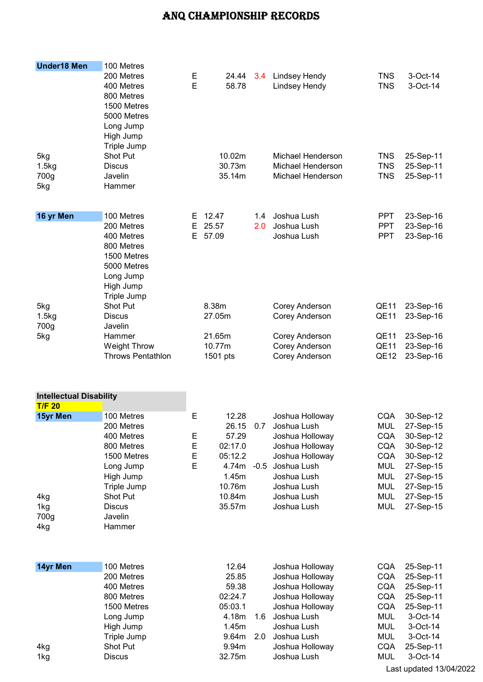| <b>Under18 Men</b>             | 100 Metres               |    |             |     |                          |                  |           |
|--------------------------------|--------------------------|----|-------------|-----|--------------------------|------------------|-----------|
|                                | 200 Metres               | Е  | 24.44       | 3.4 | <b>Lindsey Hendy</b>     | <b>TNS</b>       | 3-Oct-14  |
|                                | 400 Metres               | E  | 58.78       |     | Lindsey Hendy            | <b>TNS</b>       | 3-Oct-14  |
|                                | 800 Metres               |    |             |     |                          |                  |           |
|                                | 1500 Metres              |    |             |     |                          |                  |           |
|                                | 5000 Metres              |    |             |     |                          |                  |           |
|                                | Long Jump                |    |             |     |                          |                  |           |
|                                | High Jump                |    |             |     |                          |                  |           |
|                                | Triple Jump              |    |             |     |                          |                  |           |
|                                | Shot Put                 |    | 10.02m      |     | Michael Henderson        |                  |           |
| 5kg                            | <b>Discus</b>            |    | 30.73m      |     | <b>Michael Henderson</b> | <b>TNS</b>       | 25-Sep-11 |
| 1.5kg                          |                          |    |             |     |                          | <b>TNS</b>       | 25-Sep-11 |
| 700g                           | Javelin                  |    | 35.14m      |     | Michael Henderson        | <b>TNS</b>       | 25-Sep-11 |
| 5kg                            | Hammer                   |    |             |     |                          |                  |           |
|                                |                          |    |             |     |                          |                  |           |
| 16 yr Men                      | 100 Metres               | Е  | 12.47       | 1.4 | Joshua Lush              | <b>PPT</b>       | 23-Sep-16 |
|                                | 200 Metres               | Е  | 25.57       | 2.0 | Joshua Lush              | <b>PPT</b>       | 23-Sep-16 |
|                                | 400 Metres               | E. | 57.09       |     | Joshua Lush              | <b>PPT</b>       | 23-Sep-16 |
|                                | 800 Metres               |    |             |     |                          |                  |           |
|                                | 1500 Metres              |    |             |     |                          |                  |           |
|                                | 5000 Metres              |    |             |     |                          |                  |           |
|                                | Long Jump                |    |             |     |                          |                  |           |
|                                | High Jump                |    |             |     |                          |                  |           |
|                                | Triple Jump              |    |             |     |                          |                  |           |
| 5kg                            | Shot Put                 |    | 8.38m       |     | Corey Anderson           | <b>QE11</b>      | 23-Sep-16 |
| 1.5kg                          | <b>Discus</b>            |    | 27.05m      |     | Corey Anderson           | <b>QE11</b>      | 23-Sep-16 |
| 700g                           | Javelin                  |    |             |     |                          |                  |           |
| 5kg                            | Hammer                   |    | 21.65m      |     | Corey Anderson           | QE11             | 23-Sep-16 |
|                                | <b>Weight Throw</b>      |    | 10.77m      |     | Corey Anderson           | QE11             | 23-Sep-16 |
|                                | <b>Throws Pentathlon</b> |    | 1501 pts    |     | Corey Anderson           | QE <sub>12</sub> | 23-Sep-16 |
|                                |                          |    |             |     |                          |                  |           |
|                                |                          |    |             |     |                          |                  |           |
| <b>Intellectual Disability</b> |                          |    |             |     |                          |                  |           |
| T/F <sub>20</sub>              |                          |    |             |     |                          |                  |           |
| 15yr Men                       | 100 Metres               | E  | 12.28       |     | Joshua Holloway          | <b>CQA</b>       | 30-Sep-12 |
|                                | 200 Metres               |    | 26.15       | 0.7 | Joshua Lush              | MUL              | 27-Sep-15 |
|                                | 400 Metres               | Е  | 57.29       |     | Joshua Holloway          | <b>CQA</b>       | 30-Sep-12 |
|                                | 800 Metres               | E  | 02:17.0     |     | Joshua Holloway          | <b>CQA</b>       | 30-Sep-12 |
|                                | 1500 Metres              | Ε  | 05:12.2     |     | Joshua Holloway          | <b>CQA</b>       | 30-Sep-12 |
|                                | Long Jump                | E  | 4.74m - 0.5 |     | Joshua Lush              | <b>MUL</b>       | 27-Sep-15 |
|                                | High Jump                |    | 1.45m       |     | Joshua Lush              | <b>MUL</b>       | 27-Sep-15 |
|                                | Triple Jump              |    | 10.76m      |     | Joshua Lush              | <b>MUL</b>       | 27-Sep-15 |
| 4kg                            | Shot Put                 |    | 10.84m      |     | Joshua Lush              | <b>MUL</b>       | 27-Sep-15 |
| 1kg                            | <b>Discus</b>            |    | 35.57m      |     | Joshua Lush              | <b>MUL</b>       | 27-Sep-15 |
| 700g                           | Javelin                  |    |             |     |                          |                  |           |
| 4kg                            | Hammer                   |    |             |     |                          |                  |           |
|                                |                          |    |             |     |                          |                  |           |
|                                |                          |    |             |     |                          |                  |           |
| 14yr Men                       | 100 Metres               |    | 12.64       |     | Joshua Holloway          | <b>CQA</b>       | 25-Sep-11 |
|                                | 200 Metres               |    | 25.85       |     | Joshua Holloway          | CQA              | 25-Sep-11 |
|                                | 400 Metres               |    | 59.38       |     | Joshua Holloway          | <b>CQA</b>       | 25-Sep-11 |
|                                | 800 Metres               |    | 02:24.7     |     | Joshua Holloway          | <b>CQA</b>       | 25-Sep-11 |
|                                | 1500 Metres              |    | 05:03.1     |     | Joshua Holloway          | <b>CQA</b>       | 25-Sep-11 |
|                                | Long Jump                |    | 4.18m       | 1.6 | Joshua Lush              | <b>MUL</b>       | 3-Oct-14  |
|                                | High Jump                |    | 1.45m       |     | Joshua Lush              | <b>MUL</b>       | 3-Oct-14  |
|                                | Triple Jump              |    | 9.64m       | 2.0 | Joshua Lush              | <b>MUL</b>       | 3-Oct-14  |
| 4kg                            | Shot Put                 |    | 9.94m       |     | Joshua Holloway          | <b>CQA</b>       | 25-Sep-11 |
| 1kg                            | <b>Discus</b>            |    | 32.75m      |     | Joshua Lush              | <b>MUL</b>       | 3-Oct-14  |
|                                |                          |    |             |     |                          |                  |           |

Last updated 13/04/2022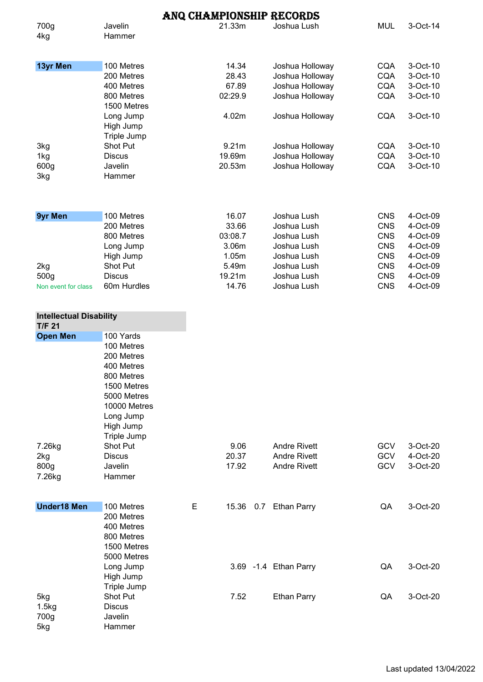|                                                 |                                                                                                                                                          |   |                | ANQ CHAMPIONSHIP RECORDS   |                          |                      |
|-------------------------------------------------|----------------------------------------------------------------------------------------------------------------------------------------------------------|---|----------------|----------------------------|--------------------------|----------------------|
| 700g<br>4kg                                     | Javelin<br>Hammer                                                                                                                                        |   | 21.33m         | Joshua Lush                | <b>MUL</b>               | 3-Oct-14             |
| 13yr Men                                        | 100 Metres                                                                                                                                               |   | 14.34          | Joshua Holloway            | <b>CQA</b>               | 3-Oct-10             |
|                                                 | 200 Metres                                                                                                                                               |   | 28.43          | Joshua Holloway            | <b>CQA</b>               | 3-Oct-10             |
|                                                 | 400 Metres                                                                                                                                               |   | 67.89          | Joshua Holloway            | <b>CQA</b>               | 3-Oct-10             |
|                                                 | 800 Metres                                                                                                                                               |   | 02:29.9        | Joshua Holloway            | <b>CQA</b>               | 3-Oct-10             |
|                                                 | 1500 Metres                                                                                                                                              |   |                |                            |                          |                      |
|                                                 | Long Jump<br>High Jump<br>Triple Jump                                                                                                                    |   | 4.02m          | Joshua Holloway            | <b>CQA</b>               | 3-Oct-10             |
| 3kg                                             | Shot Put                                                                                                                                                 |   | 9.21m          | Joshua Holloway            | <b>CQA</b>               | 3-Oct-10             |
| 1kg                                             | <b>Discus</b>                                                                                                                                            |   | 19.69m         | Joshua Holloway            | <b>CQA</b>               | 3-Oct-10             |
| 600g                                            | Javelin                                                                                                                                                  |   | 20.53m         | Joshua Holloway            | <b>CQA</b>               | 3-Oct-10             |
| 3kg                                             | Hammer                                                                                                                                                   |   |                |                            |                          |                      |
| <b>9yr Men</b>                                  | 100 Metres<br>200 Metres                                                                                                                                 |   | 16.07<br>33.66 | Joshua Lush<br>Joshua Lush | <b>CNS</b><br><b>CNS</b> | 4-Oct-09<br>4-Oct-09 |
|                                                 | 800 Metres                                                                                                                                               |   | 03:08.7        | Joshua Lush                | <b>CNS</b>               | 4-Oct-09             |
|                                                 |                                                                                                                                                          |   | 3.06m          | Joshua Lush                | <b>CNS</b>               | 4-Oct-09             |
|                                                 | Long Jump                                                                                                                                                |   | 1.05m          |                            | <b>CNS</b>               |                      |
|                                                 | High Jump<br>Shot Put                                                                                                                                    |   |                | Joshua Lush                |                          | 4-Oct-09             |
| 2kg                                             |                                                                                                                                                          |   | 5.49m          | Joshua Lush                | <b>CNS</b>               | 4-Oct-09             |
| 500g                                            | <b>Discus</b>                                                                                                                                            |   | 19.21m         | Joshua Lush                | <b>CNS</b>               | 4-Oct-09             |
| Non event for class                             | 60m Hurdles                                                                                                                                              |   | 14.76          | Joshua Lush                | <b>CNS</b>               | 4-Oct-09             |
| <b>Intellectual Disability</b><br><b>T/F 21</b> |                                                                                                                                                          |   |                |                            |                          |                      |
| <b>Open Men</b>                                 | 100 Yards<br>100 Metres<br>200 Metres<br>400 Metres<br>800 Metres<br>1500 Metres<br>5000 Metres<br>10000 Metres<br>Long Jump<br>High Jump<br>Triple Jump |   |                |                            |                          |                      |
| 7.26kg                                          | Shot Put                                                                                                                                                 |   | 9.06           | <b>Andre Rivett</b>        | <b>GCV</b>               | 3-Oct-20             |
| 2kg                                             | <b>Discus</b>                                                                                                                                            |   | 20.37          | <b>Andre Rivett</b>        | GCV                      | 4-Oct-20             |
| 800g<br>7.26kg                                  | Javelin<br>Hammer                                                                                                                                        |   | 17.92          | <b>Andre Rivett</b>        | <b>GCV</b>               | 3-Oct-20             |
| <b>Under18 Men</b>                              | 100 Metres                                                                                                                                               | Е |                | 15.36 0.7 Ethan Parry      | QA                       | 3-Oct-20             |
|                                                 | 200 Metres<br>400 Metres<br>800 Metres<br>1500 Metres<br>5000 Metres<br>Long Jump                                                                        |   |                | 3.69 - 1.4 Ethan Parry     | QA                       | 3-Oct-20             |
|                                                 | High Jump<br>Triple Jump                                                                                                                                 |   |                |                            |                          |                      |
| 5kg<br>1.5kg<br>700g<br>5kg                     | Shot Put<br><b>Discus</b><br>Javelin<br>Hammer                                                                                                           |   | 7.52           | <b>Ethan Parry</b>         | QA                       | 3-Oct-20             |

Last updated 13/04/2022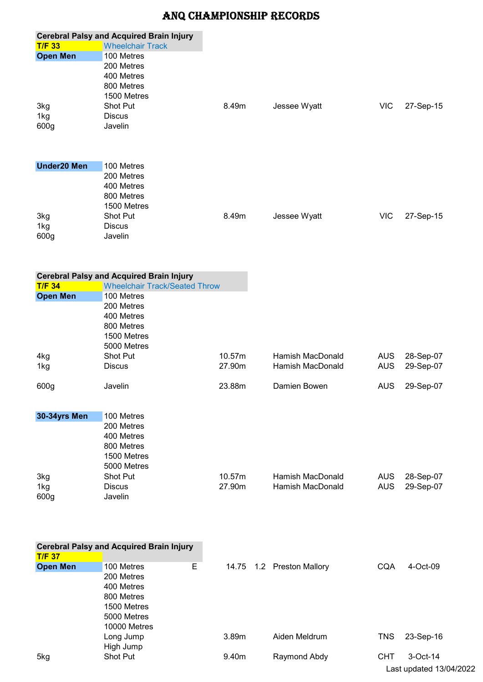|                    | <b>Cerebral Palsy and Acquired Brain Injury</b> |        |                           |            |           |
|--------------------|-------------------------------------------------|--------|---------------------------|------------|-----------|
| <b>T/F 33</b>      | <b>Wheelchair Track</b>                         |        |                           |            |           |
| <b>Open Men</b>    | 100 Metres                                      |        |                           |            |           |
|                    | 200 Metres                                      |        |                           |            |           |
|                    | 400 Metres                                      |        |                           |            |           |
|                    | 800 Metres                                      |        |                           |            |           |
|                    | 1500 Metres                                     |        |                           |            |           |
| 3kg                | Shot Put                                        | 8.49m  | Jessee Wyatt              | <b>VIC</b> | 27-Sep-15 |
| 1kg                | <b>Discus</b>                                   |        |                           |            |           |
| 600g               | Javelin                                         |        |                           |            |           |
|                    |                                                 |        |                           |            |           |
|                    |                                                 |        |                           |            |           |
| <b>Under20 Men</b> | 100 Metres                                      |        |                           |            |           |
|                    | 200 Metres                                      |        |                           |            |           |
|                    | 400 Metres                                      |        |                           |            |           |
|                    | 800 Metres                                      |        |                           |            |           |
|                    | 1500 Metres                                     |        |                           |            |           |
| 3kg                | Shot Put                                        | 8.49m  | Jessee Wyatt              | <b>VIC</b> | 27-Sep-15 |
| 1kg                | <b>Discus</b>                                   |        |                           |            |           |
| 600g               | Javelin                                         |        |                           |            |           |
|                    |                                                 |        |                           |            |           |
|                    | <b>Cerebral Palsy and Acquired Brain Injury</b> |        |                           |            |           |
| <b>T/F 34</b>      | <b>Wheelchair Track/Seated Throw</b>            |        |                           |            |           |
| <b>Open Men</b>    | 100 Metres                                      |        |                           |            |           |
|                    | 200 Metres                                      |        |                           |            |           |
|                    | 400 Metres                                      |        |                           |            |           |
|                    | 800 Metres                                      |        |                           |            |           |
|                    | 1500 Metres                                     |        |                           |            |           |
|                    | 5000 Metres                                     |        |                           |            |           |
| 4kg                | <b>Shot Put</b>                                 | 10.57m | <b>Hamish MacDonald</b>   | <b>AUS</b> | 28-Sep-07 |
| 1kg                | Discus                                          | 27.90m | <b>Hamish MacDonald</b>   | <b>AUS</b> | 29-Sep-07 |
| 600g               | Javelin                                         | 23.88m | Damien Bowen              | <b>AUS</b> | 29-Sep-07 |
|                    |                                                 |        |                           |            |           |
| 30-34yrs Men       | 100 Metres                                      |        |                           |            |           |
|                    | 200 Metres                                      |        |                           |            |           |
|                    | 400 Metres                                      |        |                           |            |           |
|                    | 800 Metres                                      |        |                           |            |           |
|                    | 1500 Metres                                     |        |                           |            |           |
|                    | 5000 Metres                                     |        |                           |            |           |
| 3kg                | Shot Put                                        | 10.57m | Hamish MacDonald          | <b>AUS</b> | 28-Sep-07 |
| 1kg                | <b>Discus</b>                                   | 27.90m | <b>Hamish MacDonald</b>   | <b>AUS</b> | 29-Sep-07 |
| 600g               | Javelin                                         |        |                           |            |           |
|                    |                                                 |        |                           |            |           |
|                    |                                                 |        |                           |            |           |
|                    | <b>Cerebral Palsy and Acquired Brain Injury</b> |        |                           |            |           |
| <b>T/F 37</b>      |                                                 |        |                           |            |           |
| <b>Open Men</b>    | 100 Metres<br>Е                                 |        | 14.75 1.2 Preston Mallory | <b>CQA</b> | 4-Oct-09  |
|                    | 200 Metres                                      |        |                           |            |           |
|                    | 400 Metres                                      |        |                           |            |           |
|                    | 800 Metres                                      |        |                           |            |           |
|                    | 1500 Metres                                     |        |                           |            |           |
|                    | 5000 Metres                                     |        |                           |            |           |
|                    | 10000 Metres                                    |        |                           |            |           |
|                    | Long Jump                                       | 3.89m  | Aiden Meldrum             | <b>TNS</b> | 23-Sep-16 |
| 5kg                | High Jump<br>Shot Put                           | 9.40m  | Raymond Abdy              | <b>CHT</b> | 3-Oct-14  |
|                    |                                                 |        |                           |            |           |

Last updated 13/04/2022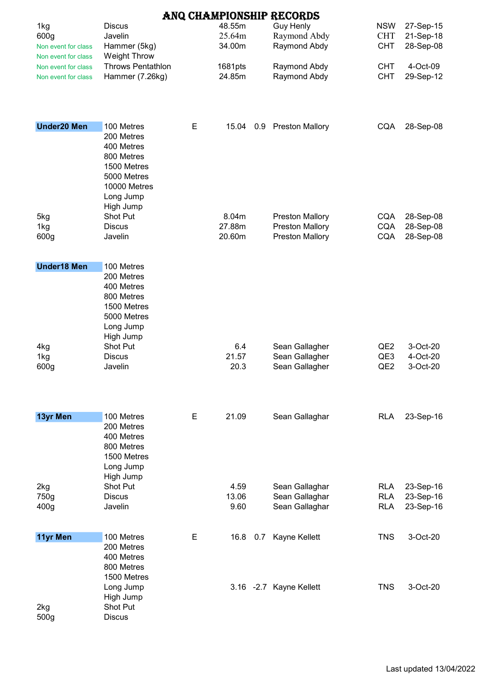|                                            |                                                                                                  |   |                   |     | ANQ CHAMPIONSHIP RECORDS         |                          |                        |
|--------------------------------------------|--------------------------------------------------------------------------------------------------|---|-------------------|-----|----------------------------------|--------------------------|------------------------|
| 1kg                                        | <b>Discus</b>                                                                                    |   | 48.55m            |     | <b>Guy Henly</b>                 | <b>NSW</b>               | 27-Sep-15              |
| 600g                                       | Javelin                                                                                          |   | 25.64m            |     | Raymond Abdy                     | <b>CHT</b>               | 21-Sep-18              |
| Non event for class                        | Hammer (5kg)                                                                                     |   | 34.00m            |     | Raymond Abdy                     | <b>CHT</b>               | 28-Sep-08              |
| Non event for class                        | <b>Weight Throw</b><br><b>Throws Pentathlon</b>                                                  |   |                   |     | Raymond Abdy                     | <b>CHT</b>               | 4-Oct-09               |
| Non event for class<br>Non event for class | Hammer (7.26kg)                                                                                  |   | 1681pts<br>24.85m |     | Raymond Abdy                     | <b>CHT</b>               | 29-Sep-12              |
|                                            |                                                                                                  |   |                   |     |                                  |                          |                        |
| <b>Under20 Men</b>                         | 100 Metres<br>200 Metres                                                                         | Е | 15.04             | 0.9 | <b>Preston Mallory</b>           | <b>CQA</b>               | 28-Sep-08              |
|                                            | 400 Metres<br>800 Metres<br>1500 Metres<br>5000 Metres<br>10000 Metres<br>Long Jump<br>High Jump |   |                   |     |                                  |                          |                        |
| 5kg                                        | Shot Put                                                                                         |   | 8.04m             |     | <b>Preston Mallory</b>           | <b>CQA</b>               | 28-Sep-08              |
| 1kg                                        | <b>Discus</b>                                                                                    |   | 27.88m            |     | <b>Preston Mallory</b>           | CQA                      | 28-Sep-08              |
| 600g                                       | Javelin                                                                                          |   | 20.60m            |     | <b>Preston Mallory</b>           | <b>CQA</b>               | 28-Sep-08              |
| <b>Under18 Men</b>                         | 100 Metres                                                                                       |   |                   |     |                                  |                          |                        |
|                                            | 200 Metres<br>400 Metres<br>800 Metres<br>1500 Metres<br>5000 Metres<br>Long Jump<br>High Jump   |   |                   |     |                                  |                          |                        |
| 4kg                                        | Shot Put                                                                                         |   | 6.4               |     | Sean Gallagher                   | QE <sub>2</sub>          | 3-Oct-20               |
| 1kg                                        | <b>Discus</b>                                                                                    |   | 21.57             |     | Sean Gallagher                   | QE3                      | 4-Oct-20               |
| 600g                                       | Javelin                                                                                          |   | 20.3              |     | Sean Gallagher                   | QE <sub>2</sub>          | 3-Oct-20               |
| 13yr Men                                   | 100 Metres                                                                                       | Е | 21.09             |     | Sean Gallaghar                   | <b>RLA</b>               | 23-Sep-16              |
|                                            | 200 Metres<br>400 Metres<br>800 Metres<br>1500 Metres<br>Long Jump<br>High Jump                  |   |                   |     |                                  |                          |                        |
| 2kg                                        | Shot Put                                                                                         |   | 4.59              |     | Sean Gallaghar                   | <b>RLA</b>               | 23-Sep-16              |
| 750g<br>400g                               | <b>Discus</b><br>Javelin                                                                         |   | 13.06<br>9.60     |     | Sean Gallaghar<br>Sean Gallaghar | <b>RLA</b><br><b>RLA</b> | 23-Sep-16<br>23-Sep-16 |
|                                            |                                                                                                  |   |                   |     |                                  |                          |                        |
| 11yr Men                                   | 100 Metres                                                                                       | E | 16.8              | 0.7 | Kayne Kellett                    | <b>TNS</b>               | 3-Oct-20               |
|                                            | 200 Metres<br>400 Metres<br>800 Metres<br>1500 Metres<br>Long Jump                               |   |                   |     | 3.16 -2.7 Kayne Kellett          | <b>TNS</b>               | 3-Oct-20               |
| 2kg<br>500g                                | High Jump<br>Shot Put<br><b>Discus</b>                                                           |   |                   |     |                                  |                          |                        |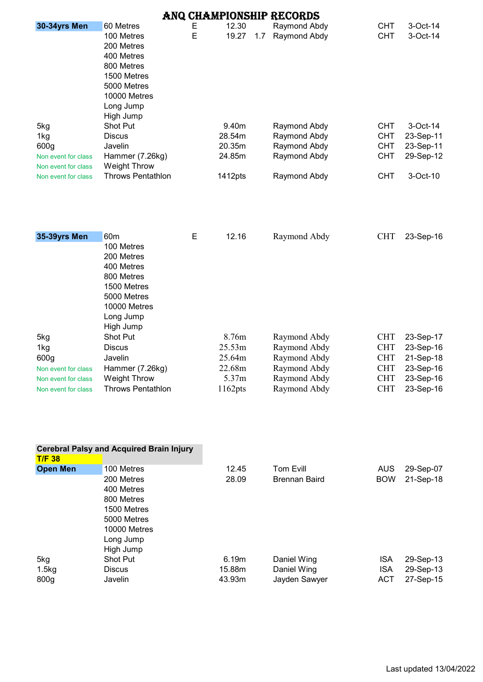|                     |                             |   |            |     | ANQ CHAMPIONSHIP RECORDS |            |           |
|---------------------|-----------------------------|---|------------|-----|--------------------------|------------|-----------|
| 30-34yrs Men        | 60 Metres                   | Е | 12.30      |     | Raymond Abdy             | <b>CHT</b> | 3-Oct-14  |
|                     | 100 Metres                  | E | 19.27      | 1.7 | Raymond Abdy             | <b>CHT</b> | 3-Oct-14  |
|                     | 200 Metres                  |   |            |     |                          |            |           |
|                     | 400 Metres                  |   |            |     |                          |            |           |
|                     | 800 Metres                  |   |            |     |                          |            |           |
|                     | 1500 Metres                 |   |            |     |                          |            |           |
|                     | 5000 Metres<br>10000 Metres |   |            |     |                          |            |           |
|                     | Long Jump                   |   |            |     |                          |            |           |
|                     | High Jump                   |   |            |     |                          |            |           |
| 5kg                 | Shot Put                    |   | 9.40m      |     | Raymond Abdy             | <b>CHT</b> | 3-Oct-14  |
| 1kg                 | <b>Discus</b>               |   | 28.54m     |     | Raymond Abdy             | <b>CHT</b> | 23-Sep-11 |
| 600g                | Javelin                     |   | 20.35m     |     | Raymond Abdy             | <b>CHT</b> | 23-Sep-11 |
| Non event for class | Hammer (7.26kg)             |   | 24.85m     |     | Raymond Abdy             | <b>CHT</b> | 29-Sep-12 |
| Non event for class | <b>Weight Throw</b>         |   |            |     |                          |            |           |
| Non event for class | <b>Throws Pentathlon</b>    |   | 1412pts    |     | Raymond Abdy             | <b>CHT</b> | 3-Oct-10  |
|                     |                             |   |            |     |                          |            |           |
| 35-39yrs Men        | 60 <sub>m</sub>             | E | 12.16      |     | Raymond Abdy             | <b>CHT</b> | 23-Sep-16 |
|                     | 100 Metres                  |   |            |     |                          |            |           |
|                     | 200 Metres                  |   |            |     |                          |            |           |
|                     | 400 Metres                  |   |            |     |                          |            |           |
|                     | 800 Metres                  |   |            |     |                          |            |           |
|                     | 1500 Metres<br>5000 Metres  |   |            |     |                          |            |           |
|                     | 10000 Metres                |   |            |     |                          |            |           |
|                     | Long Jump                   |   |            |     |                          |            |           |
|                     | High Jump                   |   |            |     |                          |            |           |
| 5kg                 | <b>Shot Put</b>             |   | 8.76m      |     | Raymond Abdy             | <b>CHT</b> | 23-Sep-17 |
| 1kg                 | <b>Discus</b>               |   | 25.53m     |     | Raymond Abdy             | <b>CHT</b> | 23-Sep-16 |
| 600g                | Javelin                     |   | 25.64m     |     | Raymond Abdy             | <b>CHT</b> | 21-Sep-18 |
| Non event for class | Hammer (7.26kg)             |   | 22.68m     |     | Raymond Abdy             | <b>CHT</b> | 23-Sep-16 |
| Non event for class | <b>Weight Throw</b>         |   | 5.37m      |     | Raymond Abdy             | <b>CHT</b> | 23-Sep-16 |
| Non event for class | <b>Throws Pentathlon</b>    |   | $1162$ pts |     | Raymond Abdy             | <b>CHT</b> | 23-Sep-16 |

|                  | <b>Cerebral Palsy and Acquired Brain Injury</b> |        |                      |            |           |
|------------------|-------------------------------------------------|--------|----------------------|------------|-----------|
| <b>T/F 38</b>    |                                                 |        |                      |            |           |
| <b>Open Men</b>  | 100 Metres                                      | 12.45  | Tom Evill            | AUS        | 29-Sep-07 |
|                  | 200 Metres                                      | 28.09  | <b>Brennan Baird</b> | <b>BOW</b> | 21-Sep-18 |
|                  | 400 Metres                                      |        |                      |            |           |
|                  | 800 Metres                                      |        |                      |            |           |
|                  | 1500 Metres                                     |        |                      |            |           |
|                  | 5000 Metres                                     |        |                      |            |           |
|                  | 10000 Metres                                    |        |                      |            |           |
|                  | Long Jump                                       |        |                      |            |           |
|                  | High Jump                                       |        |                      |            |           |
| 5kg              | <b>Shot Put</b>                                 | 6.19m  | Daniel Wing          | <b>ISA</b> | 29-Sep-13 |
| 1.5kg            | <b>Discus</b>                                   | 15.88m | Daniel Wing          | <b>ISA</b> | 29-Sep-13 |
| 800 <sub>q</sub> | Javelin                                         | 43.93m | Jayden Sawyer        | <b>ACT</b> | 27-Sep-15 |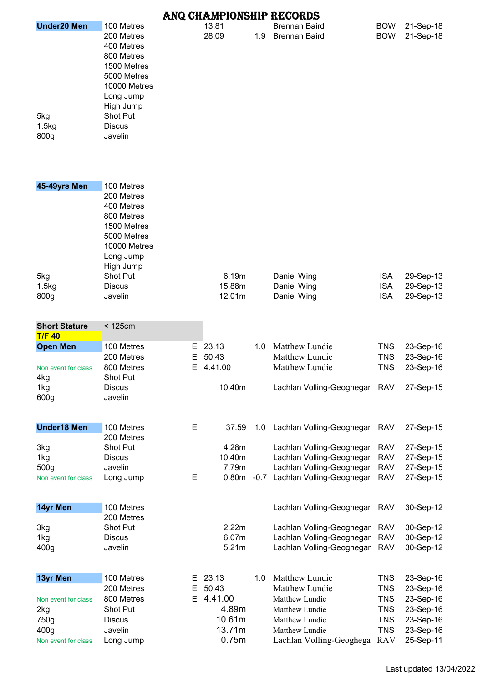|                      |                 |    |                   |     | ANQ CHAMPIONSHIP RECORDS           |            |           |
|----------------------|-----------------|----|-------------------|-----|------------------------------------|------------|-----------|
| <b>Under20 Men</b>   | 100 Metres      |    | 13.81             |     | <b>Brennan Baird</b>               | <b>BOW</b> | 21-Sep-18 |
|                      | 200 Metres      |    | 28.09             | 1.9 | <b>Brennan Baird</b>               | <b>BOW</b> | 21-Sep-18 |
|                      | 400 Metres      |    |                   |     |                                    |            |           |
|                      |                 |    |                   |     |                                    |            |           |
|                      | 800 Metres      |    |                   |     |                                    |            |           |
|                      | 1500 Metres     |    |                   |     |                                    |            |           |
|                      | 5000 Metres     |    |                   |     |                                    |            |           |
|                      | 10000 Metres    |    |                   |     |                                    |            |           |
|                      |                 |    |                   |     |                                    |            |           |
|                      | Long Jump       |    |                   |     |                                    |            |           |
|                      | High Jump       |    |                   |     |                                    |            |           |
| 5kg                  | Shot Put        |    |                   |     |                                    |            |           |
| 1.5kg                | <b>Discus</b>   |    |                   |     |                                    |            |           |
|                      |                 |    |                   |     |                                    |            |           |
| 800g                 | Javelin         |    |                   |     |                                    |            |           |
|                      |                 |    |                   |     |                                    |            |           |
|                      |                 |    |                   |     |                                    |            |           |
|                      |                 |    |                   |     |                                    |            |           |
| 45-49yrs Men         | 100 Metres      |    |                   |     |                                    |            |           |
|                      | 200 Metres      |    |                   |     |                                    |            |           |
|                      |                 |    |                   |     |                                    |            |           |
|                      | 400 Metres      |    |                   |     |                                    |            |           |
|                      | 800 Metres      |    |                   |     |                                    |            |           |
|                      | 1500 Metres     |    |                   |     |                                    |            |           |
|                      | 5000 Metres     |    |                   |     |                                    |            |           |
|                      | 10000 Metres    |    |                   |     |                                    |            |           |
|                      |                 |    |                   |     |                                    |            |           |
|                      | Long Jump       |    |                   |     |                                    |            |           |
|                      | High Jump       |    |                   |     |                                    |            |           |
| 5kg                  | <b>Shot Put</b> |    | 6.19m             |     | Daniel Wing                        | <b>ISA</b> | 29-Sep-13 |
| 1.5kg                | <b>Discus</b>   |    | 15.88m            |     | Daniel Wing                        | <b>ISA</b> | 29-Sep-13 |
|                      |                 |    |                   |     |                                    |            |           |
| 800g                 | Javelin         |    | 12.01m            |     | Daniel Wing                        | <b>ISA</b> | 29-Sep-13 |
|                      |                 |    |                   |     |                                    |            |           |
|                      |                 |    |                   |     |                                    |            |           |
| <b>Short Stature</b> | < 125cm         |    |                   |     |                                    |            |           |
| $T/F$ 40             |                 |    |                   |     |                                    |            |           |
| <b>Open Men</b>      | 100 Metres      | Е  | 23.13             | 1.0 | Matthew Lundie                     | <b>TNS</b> | 23-Sep-16 |
|                      | 200 Metres      | Е  | 50.43             |     | Matthew Lundie                     | <b>TNS</b> | 23-Sep-16 |
|                      |                 |    |                   |     |                                    |            |           |
| Non event for class  | 800 Metres      | E  | 4.41.00           |     | Matthew Lundie                     | <b>TNS</b> | 23-Sep-16 |
| 4kg                  | <b>Shot Put</b> |    |                   |     |                                    |            |           |
| 1kg                  | <b>Discus</b>   |    | 10.40m            |     | Lachlan Volling-Geoghegan RAV      |            | 27-Sep-15 |
| 600g                 | Javelin         |    |                   |     |                                    |            |           |
|                      |                 |    |                   |     |                                    |            |           |
|                      |                 |    |                   |     |                                    |            |           |
| <b>Under18 Men</b>   | 100 Metres      | E  | 37.59             | 1.0 | Lachlan Volling-Geoghegan RAV      |            | 27-Sep-15 |
|                      | 200 Metres      |    |                   |     |                                    |            |           |
| 3kg                  | <b>Shot Put</b> |    | 4.28m             |     | Lachlan Volling-Geoghegan RAV      |            | 27-Sep-15 |
| 1kg                  | <b>Discus</b>   |    | 10.40m            |     | Lachlan Volling-Geoghegan          | <b>RAV</b> | 27-Sep-15 |
|                      |                 |    |                   |     |                                    |            |           |
| 500g                 | Javelin         |    | 7.79m             |     | Lachlan Volling-Geoghegan          | <b>RAV</b> | 27-Sep-15 |
| Non event for class  | Long Jump       | E  | 0.80 <sub>m</sub> |     | -0.7 Lachlan Volling-Geoghegan RAV |            | 27-Sep-15 |
|                      |                 |    |                   |     |                                    |            |           |
|                      |                 |    |                   |     |                                    |            |           |
| 14yr Men             | 100 Metres      |    |                   |     | Lachlan Volling-Geoghegan RAV      |            | 30-Sep-12 |
|                      | 200 Metres      |    |                   |     |                                    |            |           |
| 3kg                  | <b>Shot Put</b> |    | 2.22m             |     | Lachlan Volling-Geoghegan RAV      |            | 30-Sep-12 |
|                      |                 |    |                   |     |                                    |            |           |
| 1kg                  | <b>Discus</b>   |    | 6.07m             |     | Lachlan Volling-Geoghegan RAV      |            | 30-Sep-12 |
| 400g                 | Javelin         |    | 5.21m             |     | Lachlan Volling-Geoghegan RAV      |            | 30-Sep-12 |
|                      |                 |    |                   |     |                                    |            |           |
|                      |                 |    |                   |     |                                    |            |           |
| 13yr Men             | 100 Metres      | E. | 23.13             | 1.0 | Matthew Lundie                     | <b>TNS</b> | 23-Sep-16 |
|                      | 200 Metres      | Е  | 50.43             |     | Matthew Lundie                     | <b>TNS</b> | 23-Sep-16 |
| Non event for class  | 800 Metres      | E. | 4.41.00           |     | Matthew Lundie                     | <b>TNS</b> | 23-Sep-16 |
| 2kg                  | Shot Put        |    | 4.89m             |     | Matthew Lundie                     | <b>TNS</b> | 23-Sep-16 |
|                      |                 |    |                   |     |                                    |            |           |
| 750g                 | <b>Discus</b>   |    | 10.61m            |     | Matthew Lundie                     | <b>TNS</b> | 23-Sep-16 |
| 400 <sub>g</sub>     | Javelin         |    | 13.71m            |     | Matthew Lundie                     | <b>TNS</b> | 23-Sep-16 |
| Non event for class  | Long Jump       |    | 0.75m             |     | Lachlan Volling-Geoghega RAV       |            | 25-Sep-11 |
|                      |                 |    |                   |     |                                    |            |           |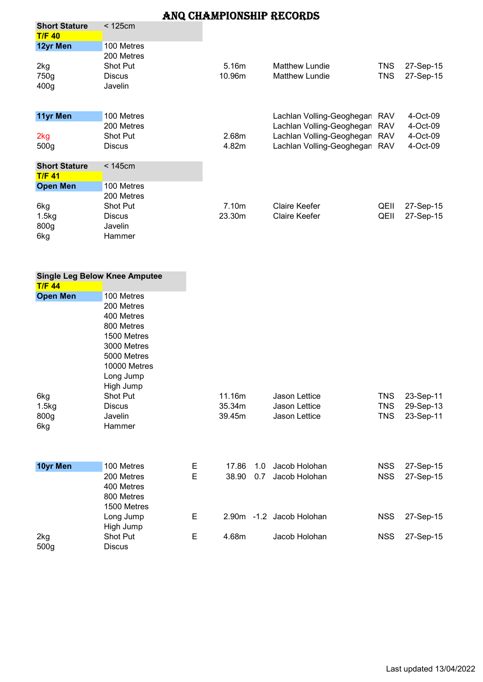| <b>Short Stature</b> | < 125cm         |        |                           |            |           |
|----------------------|-----------------|--------|---------------------------|------------|-----------|
| <b>T/F 40</b>        |                 |        |                           |            |           |
| 12yr Men             | 100 Metres      |        |                           |            |           |
|                      | 200 Metres      |        |                           |            |           |
| 2kg                  | Shot Put        | 5.16m  | <b>Matthew Lundie</b>     | TNS        | 27-Sep-15 |
| 750g                 | <b>Discus</b>   | 10.96m | <b>Matthew Lundie</b>     | <b>TNS</b> | 27-Sep-15 |
| 400 <sub>g</sub>     | Javelin         |        |                           |            |           |
|                      |                 |        |                           |            |           |
| 11yr Men             | 100 Metres      |        | Lachlan Volling-Geoghegan | RAV        | 4-Oct-09  |
|                      | 200 Metres      |        | Lachlan Volling-Geoghegan | <b>RAV</b> | 4-Oct-09  |
| 2kg                  | <b>Shot Put</b> | 2.68m  | Lachlan Volling-Geoghegan | <b>RAV</b> | 4-Oct-09  |
| 500 <sub>g</sub>     | <b>Discus</b>   | 4.82m  | Lachlan Volling-Geoghegan | <b>RAV</b> | 4-Oct-09  |
|                      |                 |        |                           |            |           |
| <b>Short Stature</b> | < 145cm         |        |                           |            |           |
| <b>T/F 41</b>        |                 |        |                           |            |           |
| <b>Open Men</b>      | 100 Metres      |        |                           |            |           |
|                      | 200 Metres      |        |                           |            |           |
| 6kg                  | <b>Shot Put</b> | 7.10m  | Claire Keefer             | QEII       | 27-Sep-15 |
| 1.5kg                | <b>Discus</b>   | 23.30m | <b>Claire Keefer</b>      | QEII       | 27-Sep-15 |
| 800g                 | Javelin         |        |                           |            |           |
| 6kg                  | Hammer          |        |                           |            |           |

|                      | <b>Single Leg Below Knee Amputee</b>                                               |        |                  |            |                                           |                          |                                     |
|----------------------|------------------------------------------------------------------------------------|--------|------------------|------------|-------------------------------------------|--------------------------|-------------------------------------|
| <b>T/F 44</b>        |                                                                                    |        |                  |            |                                           |                          |                                     |
| <b>Open Men</b>      | 100 Metres<br>200 Metres<br>400 Metres<br>800 Metres<br>1500 Metres<br>3000 Metres |        |                  |            |                                           |                          |                                     |
| 6kg                  | 5000 Metres<br>10000 Metres<br>Long Jump<br>High Jump<br>Shot Put                  |        | 11.16m           |            | Jason Lettice                             | <b>TNS</b>               |                                     |
| 1.5kg<br>800g<br>6kg | <b>Discus</b><br>Javelin<br>Hammer                                                 |        | 35.34m<br>39.45m |            | Jason Lettice<br>Jason Lettice            | <b>TNS</b><br><b>TNS</b> | 23-Sep-11<br>29-Sep-13<br>23-Sep-11 |
| 10yr Men             | 100 Metres<br>200 Metres<br>400 Metres<br>800 Metres<br>1500 Metres                | Е<br>E | 17.86<br>38.90   | 1.0<br>0.7 | Jacob Holohan<br>Jacob Holohan            | <b>NSS</b><br><b>NSS</b> | 27-Sep-15<br>27-Sep-15              |
| 2kg                  | Long Jump<br>High Jump<br>Shot Put                                                 | E<br>Е | 4.68m            |            | 2.90m -1.2 Jacob Holohan<br>Jacob Holohan | <b>NSS</b><br><b>NSS</b> | 27-Sep-15<br>27-Sep-15              |
| 500g                 | Discus                                                                             |        |                  |            |                                           |                          |                                     |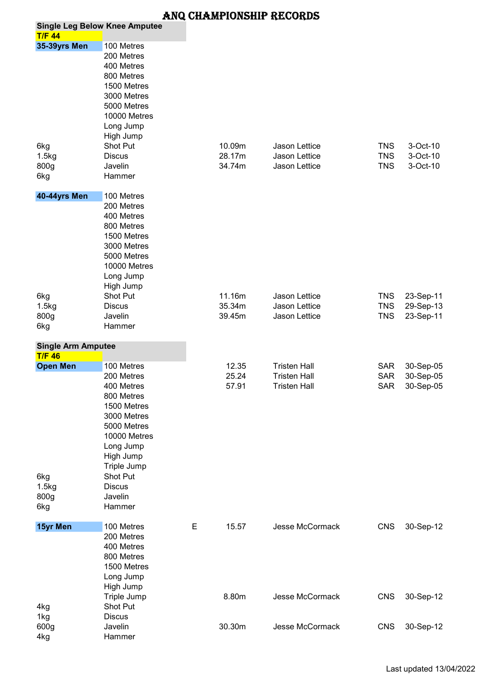| <b>T/F 44</b>                              | <b>Single Leg Below Knee Amputee</b>                                                                                                                                                           |   |                            |                                                 |                                        |                                     |
|--------------------------------------------|------------------------------------------------------------------------------------------------------------------------------------------------------------------------------------------------|---|----------------------------|-------------------------------------------------|----------------------------------------|-------------------------------------|
| 35-39yrs Men                               | 100 Metres                                                                                                                                                                                     |   |                            |                                                 |                                        |                                     |
| 6kg<br>1.5kg<br>800g<br>6kg                | 200 Metres<br>400 Metres<br>800 Metres<br>1500 Metres<br>3000 Metres<br>5000 Metres<br>10000 Metres<br>Long Jump<br>High Jump<br>Shot Put<br><b>Discus</b><br>Javelin<br>Hammer                |   | 10.09m<br>28.17m<br>34.74m | Jason Lettice<br>Jason Lettice<br>Jason Lettice | <b>TNS</b><br><b>TNS</b><br><b>TNS</b> | 3-Oct-10<br>3-Oct-10<br>3-Oct-10    |
| 40-44yrs Men                               | 100 Metres                                                                                                                                                                                     |   |                            |                                                 |                                        |                                     |
| 6kg<br>1.5kg<br>800g<br>6kg                | 200 Metres<br>400 Metres<br>800 Metres<br>1500 Metres<br>3000 Metres<br>5000 Metres<br>10000 Metres<br>Long Jump<br>High Jump<br>Shot Put<br><b>Discus</b><br>Javelin<br>Hammer                |   | 11.16m<br>35.34m<br>39.45m | Jason Lettice<br>Jason Lettice<br>Jason Lettice | <b>TNS</b><br><b>TNS</b><br><b>TNS</b> | 23-Sep-11<br>29-Sep-13<br>23-Sep-11 |
| <b>Single Arm Amputee</b><br><b>T/F 46</b> |                                                                                                                                                                                                |   |                            |                                                 |                                        |                                     |
| <b>Open Men</b>                            | 100 Metres                                                                                                                                                                                     |   | 12.35                      | <b>Tristen Hall</b>                             | <b>SAR</b>                             | 30-Sep-05                           |
| 6kg<br>1.5kg<br>800g<br>6kg                | 200 Metres<br>400 Metres<br>800 Metres<br>1500 Metres<br>3000 Metres<br>5000 Metres<br>10000 Metres<br>Long Jump<br>High Jump<br>Triple Jump<br>Shot Put<br><b>Discus</b><br>Javelin<br>Hammer |   | 25.24<br>57.91             | <b>Tristen Hall</b><br><b>Tristen Hall</b>      | <b>SAR</b><br><b>SAR</b>               | 30-Sep-05<br>30-Sep-05              |
| 15yr Men                                   | 100 Metres                                                                                                                                                                                     | E | 15.57                      | Jesse McCormack                                 | <b>CNS</b>                             | 30-Sep-12                           |
| 4kg<br>1kg<br>600g                         | 200 Metres<br>400 Metres<br>800 Metres<br>1500 Metres<br>Long Jump<br>High Jump<br>Triple Jump<br>Shot Put<br><b>Discus</b><br>Javelin                                                         |   | 8.80m<br>30.30m            | Jesse McCormack<br>Jesse McCormack              | <b>CNS</b><br><b>CNS</b>               | 30-Sep-12<br>30-Sep-12              |
| 4kg                                        | Hammer                                                                                                                                                                                         |   |                            |                                                 |                                        |                                     |